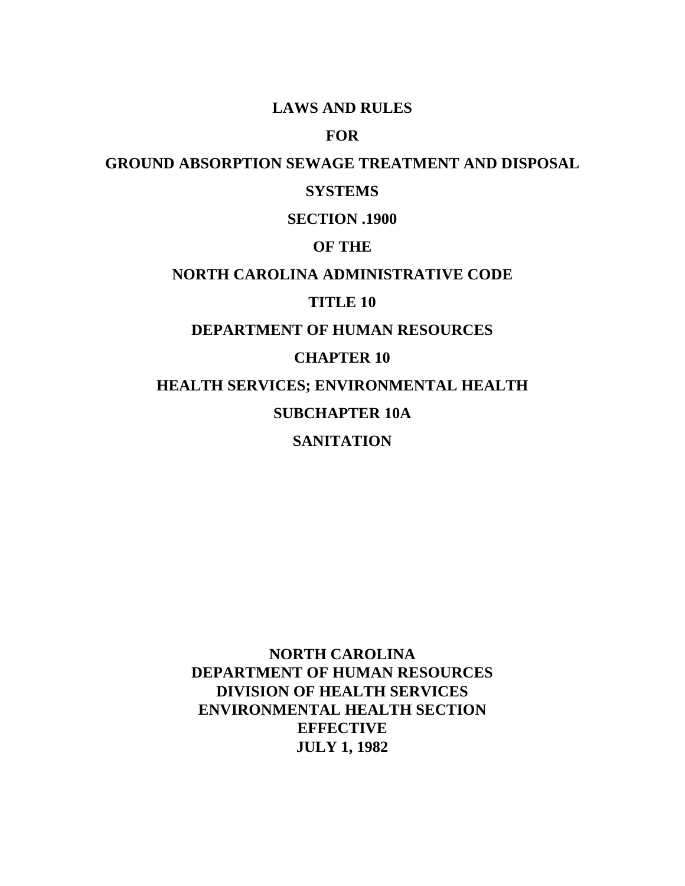## **LAWS AND RULES**

# **FOR**

## **GROUND ABSORPTION SEWAGE TREATMENT AND DISPOSAL**

## **SYSTEMS**

# **SECTION .1900**

## **OF THE**

# **NORTH CAROLINA ADMINISTRATIVE CODE**

## **TITLE 10**

# **DEPARTMENT OF HUMAN RESOURCES**

## **CHAPTER 10**

**HEALTH SERVICES; ENVIRONMENTAL HEALTH**

# **SUBCHAPTER 10A**

# **SANITATION**

**NORTH CAROLINA DEPARTMENT OF HUMAN RESOURCES DIVISION OF HEALTH SERVICES ENVIRONMENTAL HEALTH SECTION EFFECTIVE JULY 1, 1982**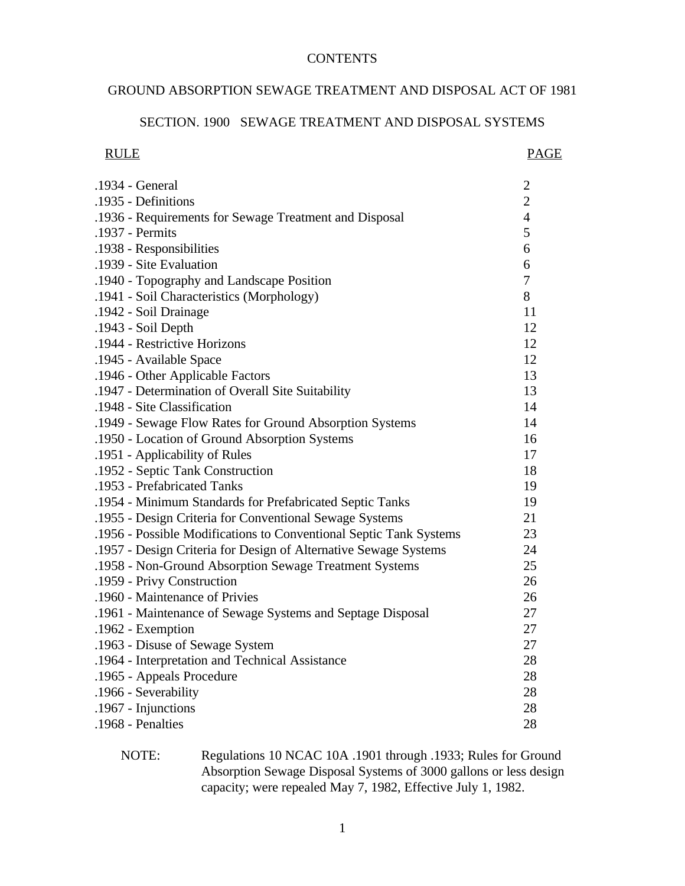## **CONTENTS**

# GROUND ABSORPTION SEWAGE TREATMENT AND DISPOSAL ACT OF 1981

#### SECTION. 1900 SEWAGE TREATMENT AND DISPOSAL SYSTEMS

| <b>RULE</b> | <b>PAGE</b> |
|-------------|-------------|
|-------------|-------------|

| .1934 - General                                                    | $\overline{c}$ |
|--------------------------------------------------------------------|----------------|
| .1935 - Definitions                                                | $\overline{2}$ |
| .1936 - Requirements for Sewage Treatment and Disposal             | $\overline{4}$ |
| .1937 - Permits                                                    | 5              |
| .1938 - Responsibilities                                           | 6              |
| .1939 - Site Evaluation                                            | 6              |
| .1940 - Topography and Landscape Position                          | $\overline{7}$ |
| .1941 - Soil Characteristics (Morphology)                          | 8              |
| .1942 - Soil Drainage                                              | 11             |
| .1943 - Soil Depth                                                 | 12             |
| .1944 - Restrictive Horizons                                       | 12             |
| .1945 - Available Space                                            | 12             |
| .1946 - Other Applicable Factors                                   | 13             |
| .1947 - Determination of Overall Site Suitability                  | 13             |
| .1948 - Site Classification                                        | 14             |
| .1949 - Sewage Flow Rates for Ground Absorption Systems            | 14             |
| .1950 - Location of Ground Absorption Systems                      | 16             |
| .1951 - Applicability of Rules                                     | 17             |
| .1952 - Septic Tank Construction                                   | 18             |
| .1953 - Prefabricated Tanks                                        | 19             |
| .1954 - Minimum Standards for Prefabricated Septic Tanks           | 19             |
| .1955 - Design Criteria for Conventional Sewage Systems            | 21             |
| .1956 - Possible Modifications to Conventional Septic Tank Systems | 23             |
| .1957 - Design Criteria for Design of Alternative Sewage Systems   | 24             |
| .1958 - Non-Ground Absorption Sewage Treatment Systems             | 25             |
| .1959 - Privy Construction                                         | 26             |
| .1960 - Maintenance of Privies                                     | 26             |
| .1961 - Maintenance of Sewage Systems and Septage Disposal         | 27             |
| .1962 - Exemption                                                  | 27             |
| .1963 - Disuse of Sewage System                                    | 27             |
| .1964 - Interpretation and Technical Assistance                    | 28             |
| .1965 - Appeals Procedure                                          | 28             |
| .1966 - Severability                                               | 28             |
| .1967 - Injunctions                                                | 28             |
| .1968 - Penalties                                                  | 28             |

NOTE: Regulations 10 NCAC 10A .1901 through .1933; Rules for Ground Absorption Sewage Disposal Systems of 3000 gallons or less design capacity; were repealed May 7, 1982, Effective July 1, 1982.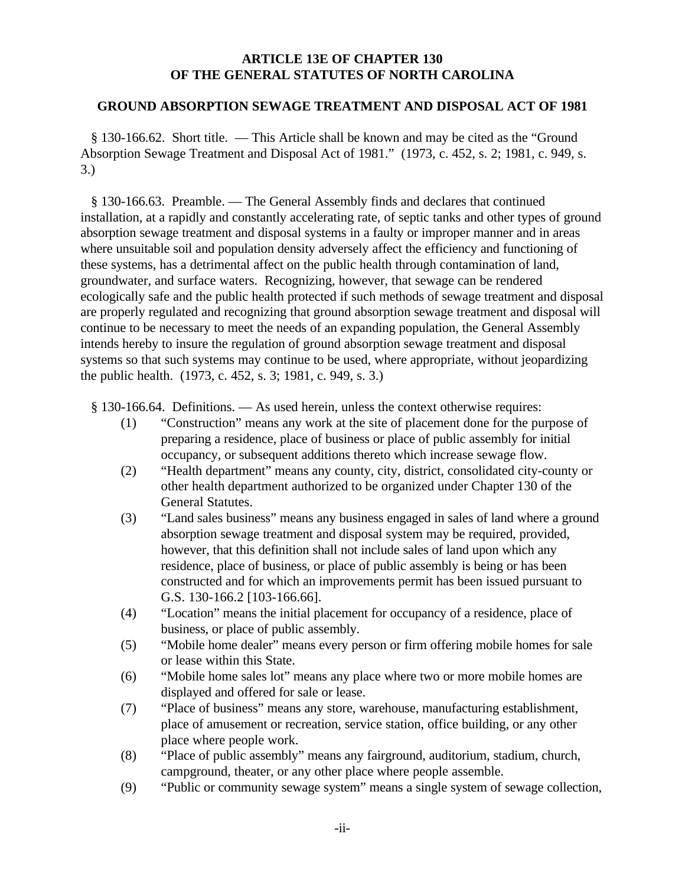#### **ARTICLE 13E OF CHAPTER 130 OF THE GENERAL STATUTES OF NORTH CAROLINA**

#### **GROUND ABSORPTION SEWAGE TREATMENT AND DISPOSAL ACT OF 1981**

 § 130-166.62. Short title. — This Article shall be known and may be cited as the "Ground Absorption Sewage Treatment and Disposal Act of 1981." (1973, c. 452, s. 2; 1981, c. 949, s. 3.)

 § 130-166.63. Preamble. — The General Assembly finds and declares that continued installation, at a rapidly and constantly accelerating rate, of septic tanks and other types of ground absorption sewage treatment and disposal systems in a faulty or improper manner and in areas where unsuitable soil and population density adversely affect the efficiency and functioning of these systems, has a detrimental affect on the public health through contamination of land, groundwater, and surface waters. Recognizing, however, that sewage can be rendered ecologically safe and the public health protected if such methods of sewage treatment and disposal are properly regulated and recognizing that ground absorption sewage treatment and disposal will continue to be necessary to meet the needs of an expanding population, the General Assembly intends hereby to insure the regulation of ground absorption sewage treatment and disposal systems so that such systems may continue to be used, where appropriate, without jeopardizing the public health. (1973, c. 452, s. 3; 1981, c. 949, s. 3.)

§ 130-166.64. Definitions. — As used herein, unless the context otherwise requires:

- (1) "Construction" means any work at the site of placement done for the purpose of preparing a residence, place of business or place of public assembly for initial occupancy, or subsequent additions thereto which increase sewage flow.
- (2) "Health department" means any county, city, district, consolidated city-county or other health department authorized to be organized under Chapter 130 of the General Statutes.
- (3) "Land sales business" means any business engaged in sales of land where a ground absorption sewage treatment and disposal system may be required, provided, however, that this definition shall not include sales of land upon which any residence, place of business, or place of public assembly is being or has been constructed and for which an improvements permit has been issued pursuant to G.S. 130-166.2 [103-166.66].
- (4) "Location" means the initial placement for occupancy of a residence, place of business, or place of public assembly.
- (5) "Mobile home dealer" means every person or firm offering mobile homes for sale or lease within this State.
- (6) "Mobile home sales lot" means any place where two or more mobile homes are displayed and offered for sale or lease.
- (7) "Place of business" means any store, warehouse, manufacturing establishment, place of amusement or recreation, service station, office building, or any other place where people work.
- (8) "Place of public assembly" means any fairground, auditorium, stadium, church, campground, theater, or any other place where people assemble.
- (9) "Public or community sewage system" means a single system of sewage collection,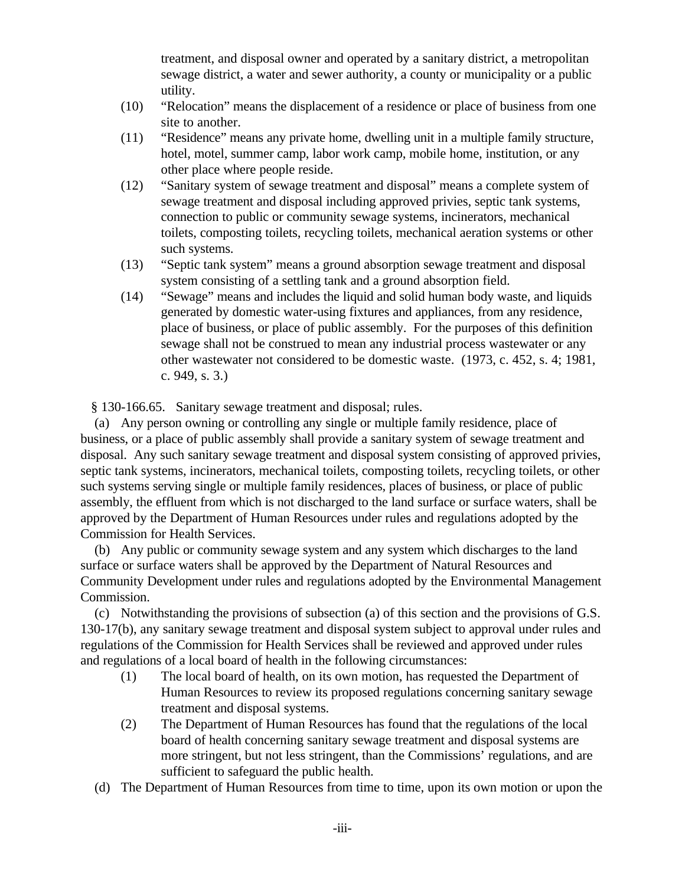treatment, and disposal owner and operated by a sanitary district, a metropolitan sewage district, a water and sewer authority, a county or municipality or a public utility.

- (10) "Relocation" means the displacement of a residence or place of business from one site to another.
- (11) "Residence" means any private home, dwelling unit in a multiple family structure, hotel, motel, summer camp, labor work camp, mobile home, institution, or any other place where people reside.
- (12) "Sanitary system of sewage treatment and disposal" means a complete system of sewage treatment and disposal including approved privies, septic tank systems, connection to public or community sewage systems, incinerators, mechanical toilets, composting toilets, recycling toilets, mechanical aeration systems or other such systems.
- (13) "Septic tank system" means a ground absorption sewage treatment and disposal system consisting of a settling tank and a ground absorption field.
- (14) "Sewage" means and includes the liquid and solid human body waste, and liquids generated by domestic water-using fixtures and appliances, from any residence, place of business, or place of public assembly. For the purposes of this definition sewage shall not be construed to mean any industrial process wastewater or any other wastewater not considered to be domestic waste. (1973, c. 452, s. 4; 1981, c. 949, s. 3.)

§ 130-166.65. Sanitary sewage treatment and disposal; rules.

 (a) Any person owning or controlling any single or multiple family residence, place of business, or a place of public assembly shall provide a sanitary system of sewage treatment and disposal. Any such sanitary sewage treatment and disposal system consisting of approved privies, septic tank systems, incinerators, mechanical toilets, composting toilets, recycling toilets, or other such systems serving single or multiple family residences, places of business, or place of public assembly, the effluent from which is not discharged to the land surface or surface waters, shall be approved by the Department of Human Resources under rules and regulations adopted by the Commission for Health Services.

 (b) Any public or community sewage system and any system which discharges to the land surface or surface waters shall be approved by the Department of Natural Resources and Community Development under rules and regulations adopted by the Environmental Management Commission.

 (c) Notwithstanding the provisions of subsection (a) of this section and the provisions of G.S. 130-17(b), any sanitary sewage treatment and disposal system subject to approval under rules and regulations of the Commission for Health Services shall be reviewed and approved under rules and regulations of a local board of health in the following circumstances:

- (1) The local board of health, on its own motion, has requested the Department of Human Resources to review its proposed regulations concerning sanitary sewage treatment and disposal systems.
- (2) The Department of Human Resources has found that the regulations of the local board of health concerning sanitary sewage treatment and disposal systems are more stringent, but not less stringent, than the Commissions' regulations, and are sufficient to safeguard the public health.
- (d) The Department of Human Resources from time to time, upon its own motion or upon the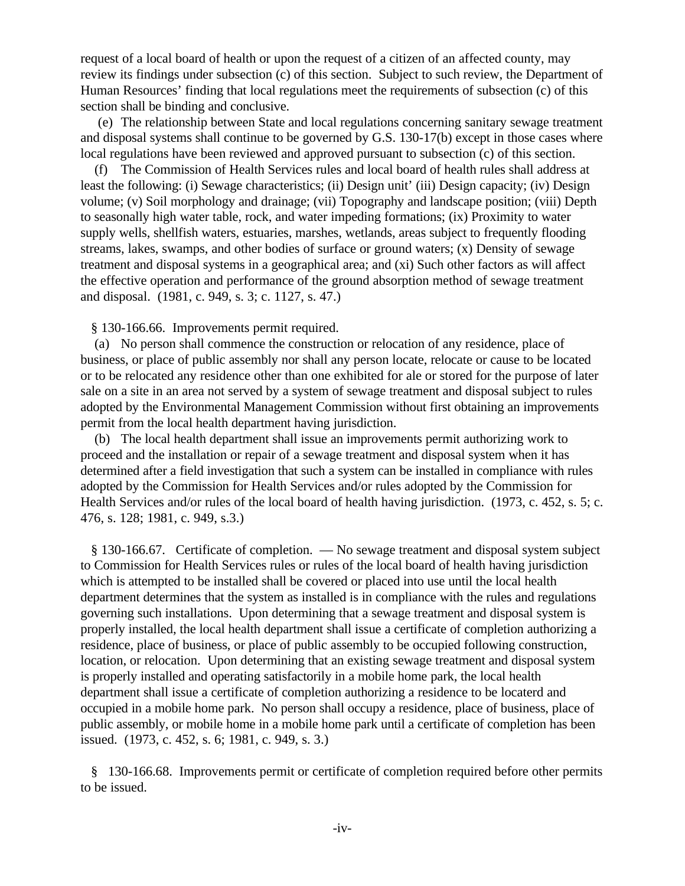request of a local board of health or upon the request of a citizen of an affected county, may review its findings under subsection (c) of this section. Subject to such review, the Department of Human Resources' finding that local regulations meet the requirements of subsection (c) of this section shall be binding and conclusive.

 (e) The relationship between State and local regulations concerning sanitary sewage treatment and disposal systems shall continue to be governed by G.S. 130-17(b) except in those cases where local regulations have been reviewed and approved pursuant to subsection (c) of this section.

 (f) The Commission of Health Services rules and local board of health rules shall address at least the following: (i) Sewage characteristics; (ii) Design unit' (iii) Design capacity; (iv) Design volume; (v) Soil morphology and drainage; (vii) Topography and landscape position; (viii) Depth to seasonally high water table, rock, and water impeding formations; (ix) Proximity to water supply wells, shellfish waters, estuaries, marshes, wetlands, areas subject to frequently flooding streams, lakes, swamps, and other bodies of surface or ground waters; (x) Density of sewage treatment and disposal systems in a geographical area; and (xi) Such other factors as will affect the effective operation and performance of the ground absorption method of sewage treatment and disposal. (1981, c. 949, s. 3; c. 1127, s. 47.)

§ 130-166.66. Improvements permit required.

 (a) No person shall commence the construction or relocation of any residence, place of business, or place of public assembly nor shall any person locate, relocate or cause to be located or to be relocated any residence other than one exhibited for ale or stored for the purpose of later sale on a site in an area not served by a system of sewage treatment and disposal subject to rules adopted by the Environmental Management Commission without first obtaining an improvements permit from the local health department having jurisdiction.

 (b) The local health department shall issue an improvements permit authorizing work to proceed and the installation or repair of a sewage treatment and disposal system when it has determined after a field investigation that such a system can be installed in compliance with rules adopted by the Commission for Health Services and/or rules adopted by the Commission for Health Services and/or rules of the local board of health having jurisdiction. (1973, c. 452, s. 5; c. 476, s. 128; 1981, c. 949, s.3.)

 § 130-166.67. Certificate of completion. — No sewage treatment and disposal system subject to Commission for Health Services rules or rules of the local board of health having jurisdiction which is attempted to be installed shall be covered or placed into use until the local health department determines that the system as installed is in compliance with the rules and regulations governing such installations. Upon determining that a sewage treatment and disposal system is properly installed, the local health department shall issue a certificate of completion authorizing a residence, place of business, or place of public assembly to be occupied following construction, location, or relocation. Upon determining that an existing sewage treatment and disposal system is properly installed and operating satisfactorily in a mobile home park, the local health department shall issue a certificate of completion authorizing a residence to be locaterd and occupied in a mobile home park. No person shall occupy a residence, place of business, place of public assembly, or mobile home in a mobile home park until a certificate of completion has been issued. (1973, c. 452, s. 6; 1981, c. 949, s. 3.)

 § 130-166.68. Improvements permit or certificate of completion required before other permits to be issued.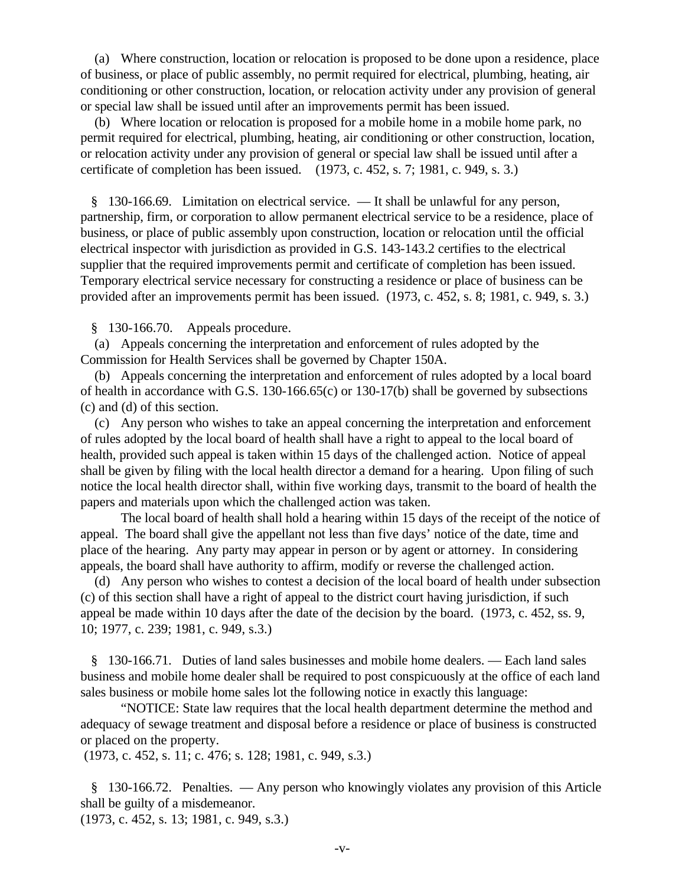(a) Where construction, location or relocation is proposed to be done upon a residence, place of business, or place of public assembly, no permit required for electrical, plumbing, heating, air conditioning or other construction, location, or relocation activity under any provision of general or special law shall be issued until after an improvements permit has been issued.

 (b) Where location or relocation is proposed for a mobile home in a mobile home park, no permit required for electrical, plumbing, heating, air conditioning or other construction, location, or relocation activity under any provision of general or special law shall be issued until after a certificate of completion has been issued. (1973, c. 452, s. 7; 1981, c. 949, s. 3.)

 § 130-166.69. Limitation on electrical service. — It shall be unlawful for any person, partnership, firm, or corporation to allow permanent electrical service to be a residence, place of business, or place of public assembly upon construction, location or relocation until the official electrical inspector with jurisdiction as provided in G.S. 143-143.2 certifies to the electrical supplier that the required improvements permit and certificate of completion has been issued. Temporary electrical service necessary for constructing a residence or place of business can be provided after an improvements permit has been issued. (1973, c. 452, s. 8; 1981, c. 949, s. 3.)

§ 130-166.70. Appeals procedure.

 (a) Appeals concerning the interpretation and enforcement of rules adopted by the Commission for Health Services shall be governed by Chapter 150A.

 (b) Appeals concerning the interpretation and enforcement of rules adopted by a local board of health in accordance with G.S. 130-166.65(c) or 130-17(b) shall be governed by subsections (c) and (d) of this section.

 (c) Any person who wishes to take an appeal concerning the interpretation and enforcement of rules adopted by the local board of health shall have a right to appeal to the local board of health, provided such appeal is taken within 15 days of the challenged action. Notice of appeal shall be given by filing with the local health director a demand for a hearing. Upon filing of such notice the local health director shall, within five working days, transmit to the board of health the papers and materials upon which the challenged action was taken.

The local board of health shall hold a hearing within 15 days of the receipt of the notice of appeal. The board shall give the appellant not less than five days' notice of the date, time and place of the hearing. Any party may appear in person or by agent or attorney. In considering appeals, the board shall have authority to affirm, modify or reverse the challenged action.

 (d) Any person who wishes to contest a decision of the local board of health under subsection (c) of this section shall have a right of appeal to the district court having jurisdiction, if such appeal be made within 10 days after the date of the decision by the board. (1973, c. 452, ss. 9, 10; 1977, c. 239; 1981, c. 949, s.3.)

 § 130-166.71. Duties of land sales businesses and mobile home dealers. — Each land sales business and mobile home dealer shall be required to post conspicuously at the office of each land sales business or mobile home sales lot the following notice in exactly this language:

"NOTICE: State law requires that the local health department determine the method and adequacy of sewage treatment and disposal before a residence or place of business is constructed or placed on the property.

(1973, c. 452, s. 11; c. 476; s. 128; 1981, c. 949, s.3.)

 § 130-166.72. Penalties. — Any person who knowingly violates any provision of this Article shall be guilty of a misdemeanor.

(1973, c. 452, s. 13; 1981, c. 949, s.3.)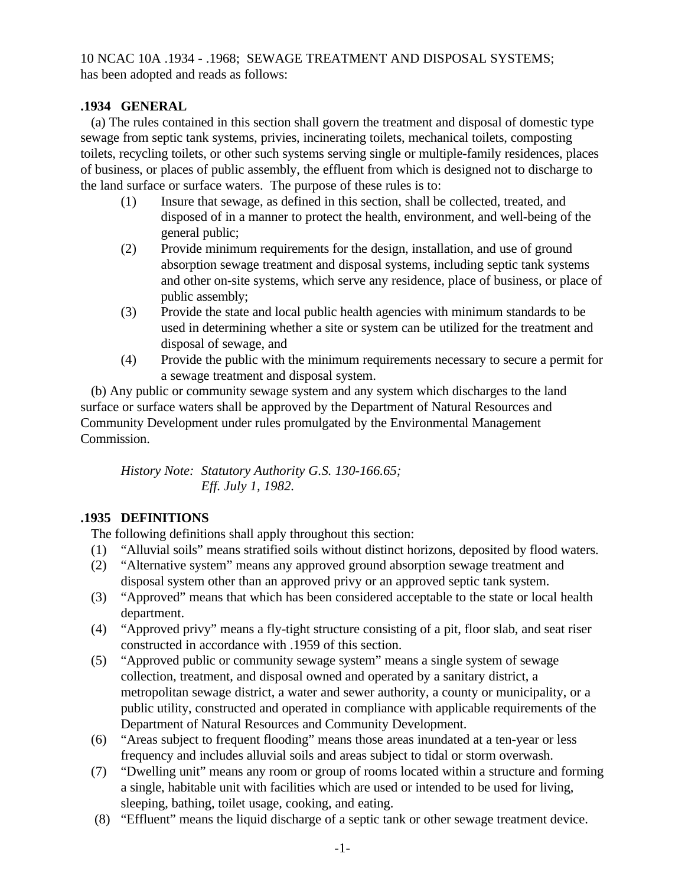10 NCAC 10A .1934 - .1968; SEWAGE TREATMENT AND DISPOSAL SYSTEMS; has been adopted and reads as follows:

## **.1934 GENERAL**

 (a) The rules contained in this section shall govern the treatment and disposal of domestic type sewage from septic tank systems, privies, incinerating toilets, mechanical toilets, composting toilets, recycling toilets, or other such systems serving single or multiple-family residences, places of business, or places of public assembly, the effluent from which is designed not to discharge to the land surface or surface waters. The purpose of these rules is to:

- (1) Insure that sewage, as defined in this section, shall be collected, treated, and disposed of in a manner to protect the health, environment, and well-being of the general public;
- (2) Provide minimum requirements for the design, installation, and use of ground absorption sewage treatment and disposal systems, including septic tank systems and other on-site systems, which serve any residence, place of business, or place of public assembly;
- (3) Provide the state and local public health agencies with minimum standards to be used in determining whether a site or system can be utilized for the treatment and disposal of sewage, and
- (4) Provide the public with the minimum requirements necessary to secure a permit for a sewage treatment and disposal system.

 (b) Any public or community sewage system and any system which discharges to the land surface or surface waters shall be approved by the Department of Natural Resources and Community Development under rules promulgated by the Environmental Management Commission.

*History Note: Statutory Authority G.S. 130-166.65; Eff. July 1, 1982.*

## **.1935 DEFINITIONS**

The following definitions shall apply throughout this section:

- (1) "Alluvial soils" means stratified soils without distinct horizons, deposited by flood waters.
- (2) "Alternative system" means any approved ground absorption sewage treatment and disposal system other than an approved privy or an approved septic tank system.
- (3) "Approved" means that which has been considered acceptable to the state or local health department.
- (4) "Approved privy" means a fly-tight structure consisting of a pit, floor slab, and seat riser constructed in accordance with .1959 of this section.
- (5) "Approved public or community sewage system" means a single system of sewage collection, treatment, and disposal owned and operated by a sanitary district, a metropolitan sewage district, a water and sewer authority, a county or municipality, or a public utility, constructed and operated in compliance with applicable requirements of the Department of Natural Resources and Community Development.
- (6) "Areas subject to frequent flooding" means those areas inundated at a ten-year or less frequency and includes alluvial soils and areas subject to tidal or storm overwash.
- (7) "Dwelling unit" means any room or group of rooms located within a structure and forming a single, habitable unit with facilities which are used or intended to be used for living, sleeping, bathing, toilet usage, cooking, and eating.
- (8) "Effluent" means the liquid discharge of a septic tank or other sewage treatment device.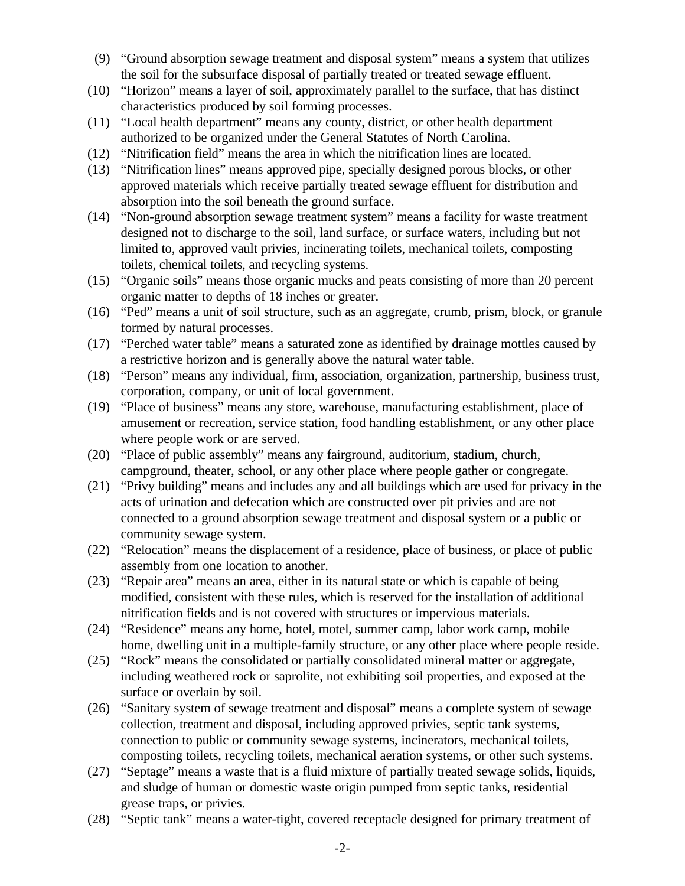- (9) "Ground absorption sewage treatment and disposal system" means a system that utilizes the soil for the subsurface disposal of partially treated or treated sewage effluent.
- (10) "Horizon" means a layer of soil, approximately parallel to the surface, that has distinct characteristics produced by soil forming processes.
- (11) "Local health department" means any county, district, or other health department authorized to be organized under the General Statutes of North Carolina.
- (12) "Nitrification field" means the area in which the nitrification lines are located.
- (13) "Nitrification lines" means approved pipe, specially designed porous blocks, or other approved materials which receive partially treated sewage effluent for distribution and absorption into the soil beneath the ground surface.
- (14) "Non-ground absorption sewage treatment system" means a facility for waste treatment designed not to discharge to the soil, land surface, or surface waters, including but not limited to, approved vault privies, incinerating toilets, mechanical toilets, composting toilets, chemical toilets, and recycling systems.
- (15) "Organic soils" means those organic mucks and peats consisting of more than 20 percent organic matter to depths of 18 inches or greater.
- (16) "Ped" means a unit of soil structure, such as an aggregate, crumb, prism, block, or granule formed by natural processes.
- (17) "Perched water table" means a saturated zone as identified by drainage mottles caused by a restrictive horizon and is generally above the natural water table.
- (18) "Person" means any individual, firm, association, organization, partnership, business trust, corporation, company, or unit of local government.
- (19) "Place of business" means any store, warehouse, manufacturing establishment, place of amusement or recreation, service station, food handling establishment, or any other place where people work or are served.
- (20) "Place of public assembly" means any fairground, auditorium, stadium, church, campground, theater, school, or any other place where people gather or congregate.
- (21) "Privy building" means and includes any and all buildings which are used for privacy in the acts of urination and defecation which are constructed over pit privies and are not connected to a ground absorption sewage treatment and disposal system or a public or community sewage system.
- (22) "Relocation" means the displacement of a residence, place of business, or place of public assembly from one location to another.
- (23) "Repair area" means an area, either in its natural state or which is capable of being modified, consistent with these rules, which is reserved for the installation of additional nitrification fields and is not covered with structures or impervious materials.
- (24) "Residence" means any home, hotel, motel, summer camp, labor work camp, mobile home, dwelling unit in a multiple-family structure, or any other place where people reside.
- (25) "Rock" means the consolidated or partially consolidated mineral matter or aggregate, including weathered rock or saprolite, not exhibiting soil properties, and exposed at the surface or overlain by soil.
- (26) "Sanitary system of sewage treatment and disposal" means a complete system of sewage collection, treatment and disposal, including approved privies, septic tank systems, connection to public or community sewage systems, incinerators, mechanical toilets, composting toilets, recycling toilets, mechanical aeration systems, or other such systems.
- (27) "Septage" means a waste that is a fluid mixture of partially treated sewage solids, liquids, and sludge of human or domestic waste origin pumped from septic tanks, residential grease traps, or privies.
- (28) "Septic tank" means a water-tight, covered receptacle designed for primary treatment of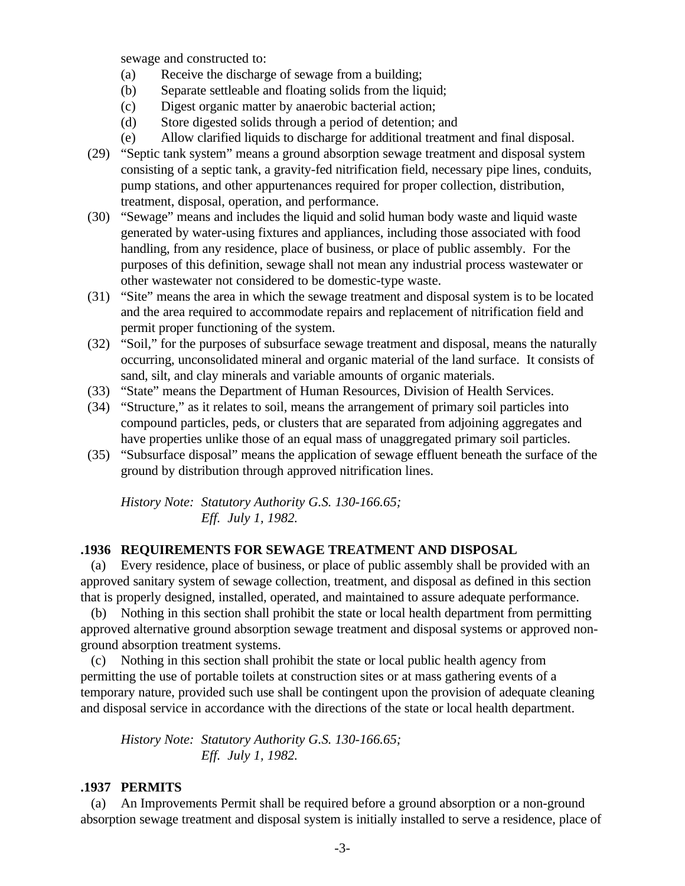sewage and constructed to:

- (a) Receive the discharge of sewage from a building;
- (b) Separate settleable and floating solids from the liquid;
- (c) Digest organic matter by anaerobic bacterial action;
- (d) Store digested solids through a period of detention; and
- (e) Allow clarified liquids to discharge for additional treatment and final disposal.
- (29) "Septic tank system" means a ground absorption sewage treatment and disposal system consisting of a septic tank, a gravity-fed nitrification field, necessary pipe lines, conduits, pump stations, and other appurtenances required for proper collection, distribution, treatment, disposal, operation, and performance.
- (30) "Sewage" means and includes the liquid and solid human body waste and liquid waste generated by water-using fixtures and appliances, including those associated with food handling, from any residence, place of business, or place of public assembly. For the purposes of this definition, sewage shall not mean any industrial process wastewater or other wastewater not considered to be domestic-type waste.
- (31) "Site" means the area in which the sewage treatment and disposal system is to be located and the area required to accommodate repairs and replacement of nitrification field and permit proper functioning of the system.
- (32) "Soil," for the purposes of subsurface sewage treatment and disposal, means the naturally occurring, unconsolidated mineral and organic material of the land surface. It consists of sand, silt, and clay minerals and variable amounts of organic materials.
- (33) "State" means the Department of Human Resources, Division of Health Services.
- (34) "Structure," as it relates to soil, means the arrangement of primary soil particles into compound particles, peds, or clusters that are separated from adjoining aggregates and have properties unlike those of an equal mass of unaggregated primary soil particles.
- (35) "Subsurface disposal" means the application of sewage effluent beneath the surface of the ground by distribution through approved nitrification lines.

*History Note: Statutory Authority G.S. 130-166.65; Eff. July 1, 1982.*

# **.1936 REQUIREMENTS FOR SEWAGE TREATMENT AND DISPOSAL**

 (a) Every residence, place of business, or place of public assembly shall be provided with an approved sanitary system of sewage collection, treatment, and disposal as defined in this section that is properly designed, installed, operated, and maintained to assure adequate performance.

 (b) Nothing in this section shall prohibit the state or local health department from permitting approved alternative ground absorption sewage treatment and disposal systems or approved nonground absorption treatment systems.

 (c) Nothing in this section shall prohibit the state or local public health agency from permitting the use of portable toilets at construction sites or at mass gathering events of a temporary nature, provided such use shall be contingent upon the provision of adequate cleaning and disposal service in accordance with the directions of the state or local health department.

*History Note: Statutory Authority G.S. 130-166.65; Eff. July 1, 1982.*

#### **.1937 PERMITS**

 (a) An Improvements Permit shall be required before a ground absorption or a non-ground absorption sewage treatment and disposal system is initially installed to serve a residence, place of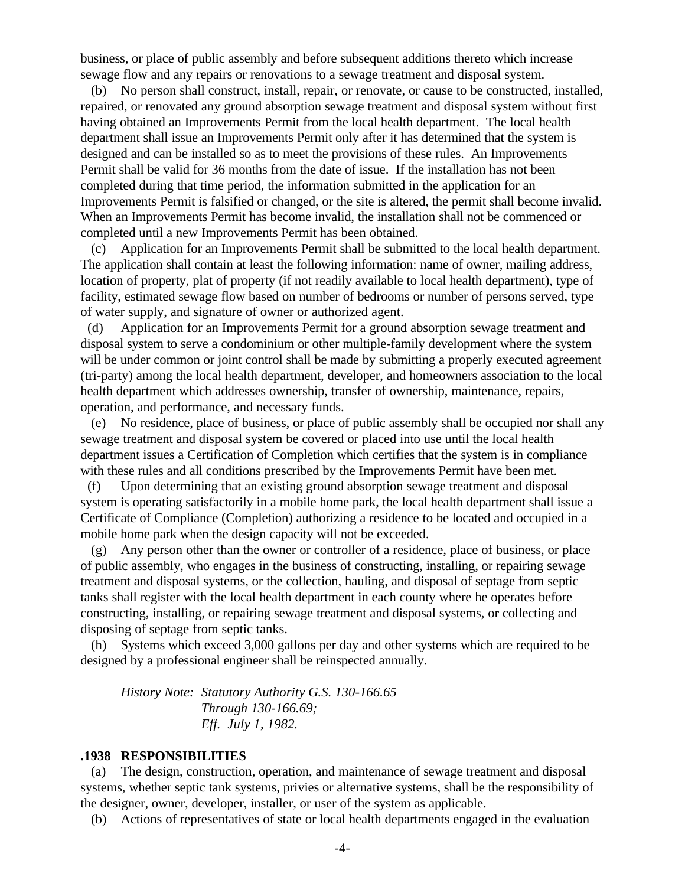business, or place of public assembly and before subsequent additions thereto which increase sewage flow and any repairs or renovations to a sewage treatment and disposal system.

 (b) No person shall construct, install, repair, or renovate, or cause to be constructed, installed, repaired, or renovated any ground absorption sewage treatment and disposal system without first having obtained an Improvements Permit from the local health department. The local health department shall issue an Improvements Permit only after it has determined that the system is designed and can be installed so as to meet the provisions of these rules. An Improvements Permit shall be valid for 36 months from the date of issue. If the installation has not been completed during that time period, the information submitted in the application for an Improvements Permit is falsified or changed, or the site is altered, the permit shall become invalid. When an Improvements Permit has become invalid, the installation shall not be commenced or completed until a new Improvements Permit has been obtained.

 (c) Application for an Improvements Permit shall be submitted to the local health department. The application shall contain at least the following information: name of owner, mailing address, location of property, plat of property (if not readily available to local health department), type of facility, estimated sewage flow based on number of bedrooms or number of persons served, type of water supply, and signature of owner or authorized agent.

 (d) Application for an Improvements Permit for a ground absorption sewage treatment and disposal system to serve a condominium or other multiple-family development where the system will be under common or joint control shall be made by submitting a properly executed agreement (tri-party) among the local health department, developer, and homeowners association to the local health department which addresses ownership, transfer of ownership, maintenance, repairs, operation, and performance, and necessary funds.

 (e) No residence, place of business, or place of public assembly shall be occupied nor shall any sewage treatment and disposal system be covered or placed into use until the local health department issues a Certification of Completion which certifies that the system is in compliance with these rules and all conditions prescribed by the Improvements Permit have been met.

 (f) Upon determining that an existing ground absorption sewage treatment and disposal system is operating satisfactorily in a mobile home park, the local health department shall issue a Certificate of Compliance (Completion) authorizing a residence to be located and occupied in a mobile home park when the design capacity will not be exceeded.

 (g) Any person other than the owner or controller of a residence, place of business, or place of public assembly, who engages in the business of constructing, installing, or repairing sewage treatment and disposal systems, or the collection, hauling, and disposal of septage from septic tanks shall register with the local health department in each county where he operates before constructing, installing, or repairing sewage treatment and disposal systems, or collecting and disposing of septage from septic tanks.

 (h) Systems which exceed 3,000 gallons per day and other systems which are required to be designed by a professional engineer shall be reinspected annually.

*History Note: Statutory Authority G.S. 130-166.65 Through 130-166.69; Eff. July 1, 1982.*

#### **.1938 RESPONSIBILITIES**

 (a) The design, construction, operation, and maintenance of sewage treatment and disposal systems, whether septic tank systems, privies or alternative systems, shall be the responsibility of the designer, owner, developer, installer, or user of the system as applicable.

(b) Actions of representatives of state or local health departments engaged in the evaluation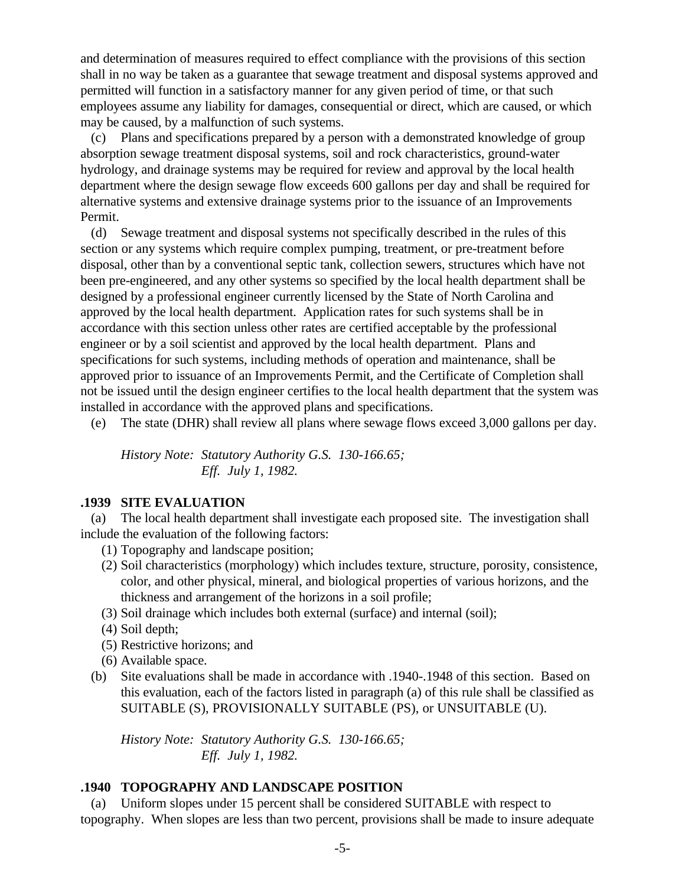and determination of measures required to effect compliance with the provisions of this section shall in no way be taken as a guarantee that sewage treatment and disposal systems approved and permitted will function in a satisfactory manner for any given period of time, or that such employees assume any liability for damages, consequential or direct, which are caused, or which may be caused, by a malfunction of such systems.

 (c) Plans and specifications prepared by a person with a demonstrated knowledge of group absorption sewage treatment disposal systems, soil and rock characteristics, ground-water hydrology, and drainage systems may be required for review and approval by the local health department where the design sewage flow exceeds 600 gallons per day and shall be required for alternative systems and extensive drainage systems prior to the issuance of an Improvements Permit.

 (d) Sewage treatment and disposal systems not specifically described in the rules of this section or any systems which require complex pumping, treatment, or pre-treatment before disposal, other than by a conventional septic tank, collection sewers, structures which have not been pre-engineered, and any other systems so specified by the local health department shall be designed by a professional engineer currently licensed by the State of North Carolina and approved by the local health department. Application rates for such systems shall be in accordance with this section unless other rates are certified acceptable by the professional engineer or by a soil scientist and approved by the local health department. Plans and specifications for such systems, including methods of operation and maintenance, shall be approved prior to issuance of an Improvements Permit, and the Certificate of Completion shall not be issued until the design engineer certifies to the local health department that the system was installed in accordance with the approved plans and specifications.

(e) The state (DHR) shall review all plans where sewage flows exceed 3,000 gallons per day.

*History Note: Statutory Authority G.S. 130-166.65; Eff. July 1, 1982.*

#### **.1939 SITE EVALUATION**

 (a) The local health department shall investigate each proposed site. The investigation shall include the evaluation of the following factors:

- (1) Topography and landscape position;
- (2) Soil characteristics (morphology) which includes texture, structure, porosity, consistence, color, and other physical, mineral, and biological properties of various horizons, and the thickness and arrangement of the horizons in a soil profile;
- (3) Soil drainage which includes both external (surface) and internal (soil);
- (4) Soil depth;
- (5) Restrictive horizons; and
- (6) Available space.
- (b) Site evaluations shall be made in accordance with .1940-.1948 of this section. Based on this evaluation, each of the factors listed in paragraph (a) of this rule shall be classified as SUITABLE (S), PROVISIONALLY SUITABLE (PS), or UNSUITABLE (U).

*History Note: Statutory Authority G.S. 130-166.65; Eff. July 1, 1982.*

# **.1940 TOPOGRAPHY AND LANDSCAPE POSITION**

 (a) Uniform slopes under 15 percent shall be considered SUITABLE with respect to topography. When slopes are less than two percent, provisions shall be made to insure adequate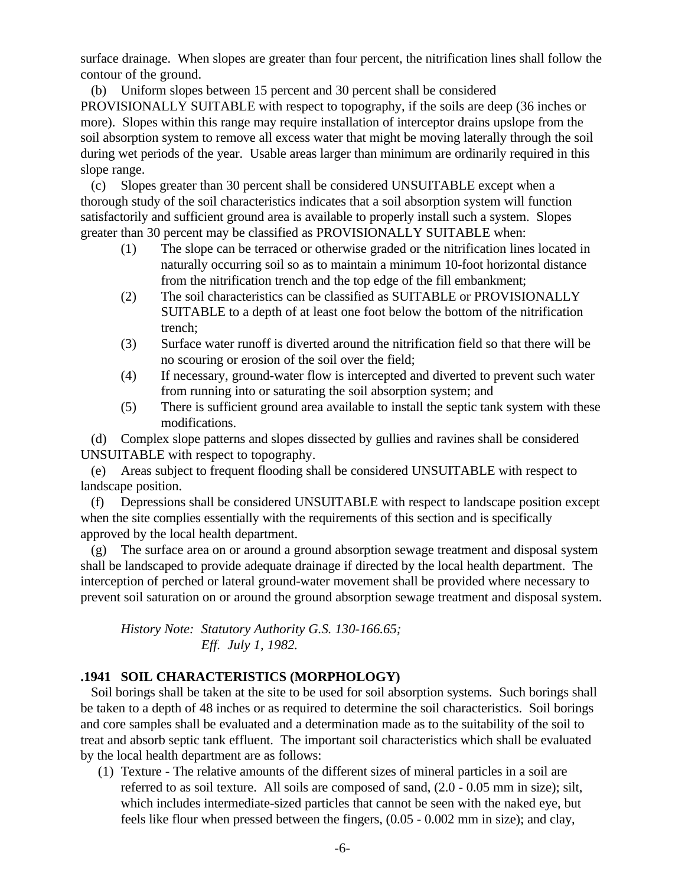surface drainage. When slopes are greater than four percent, the nitrification lines shall follow the contour of the ground.

 (b) Uniform slopes between 15 percent and 30 percent shall be considered PROVISIONALLY SUITABLE with respect to topography, if the soils are deep (36 inches or more). Slopes within this range may require installation of interceptor drains upslope from the soil absorption system to remove all excess water that might be moving laterally through the soil during wet periods of the year. Usable areas larger than minimum are ordinarily required in this slope range.

 (c) Slopes greater than 30 percent shall be considered UNSUITABLE except when a thorough study of the soil characteristics indicates that a soil absorption system will function satisfactorily and sufficient ground area is available to properly install such a system. Slopes greater than 30 percent may be classified as PROVISIONALLY SUITABLE when:

- (1) The slope can be terraced or otherwise graded or the nitrification lines located in naturally occurring soil so as to maintain a minimum 10-foot horizontal distance from the nitrification trench and the top edge of the fill embankment;
- (2) The soil characteristics can be classified as SUITABLE or PROVISIONALLY SUITABLE to a depth of at least one foot below the bottom of the nitrification trench;
- (3) Surface water runoff is diverted around the nitrification field so that there will be no scouring or erosion of the soil over the field;
- (4) If necessary, ground-water flow is intercepted and diverted to prevent such water from running into or saturating the soil absorption system; and
- (5) There is sufficient ground area available to install the septic tank system with these modifications.

 (d) Complex slope patterns and slopes dissected by gullies and ravines shall be considered UNSUITABLE with respect to topography.

 (e) Areas subject to frequent flooding shall be considered UNSUITABLE with respect to landscape position.

 (f) Depressions shall be considered UNSUITABLE with respect to landscape position except when the site complies essentially with the requirements of this section and is specifically approved by the local health department.

 (g) The surface area on or around a ground absorption sewage treatment and disposal system shall be landscaped to provide adequate drainage if directed by the local health department. The interception of perched or lateral ground-water movement shall be provided where necessary to prevent soil saturation on or around the ground absorption sewage treatment and disposal system.

*History Note: Statutory Authority G.S. 130-166.65; Eff. July 1, 1982.*

## **.1941 SOIL CHARACTERISTICS (MORPHOLOGY)**

 Soil borings shall be taken at the site to be used for soil absorption systems. Such borings shall be taken to a depth of 48 inches or as required to determine the soil characteristics. Soil borings and core samples shall be evaluated and a determination made as to the suitability of the soil to treat and absorb septic tank effluent. The important soil characteristics which shall be evaluated by the local health department are as follows:

 (1) Texture - The relative amounts of the different sizes of mineral particles in a soil are referred to as soil texture. All soils are composed of sand, (2.0 - 0.05 mm in size); silt, which includes intermediate-sized particles that cannot be seen with the naked eye, but feels like flour when pressed between the fingers, (0.05 - 0.002 mm in size); and clay,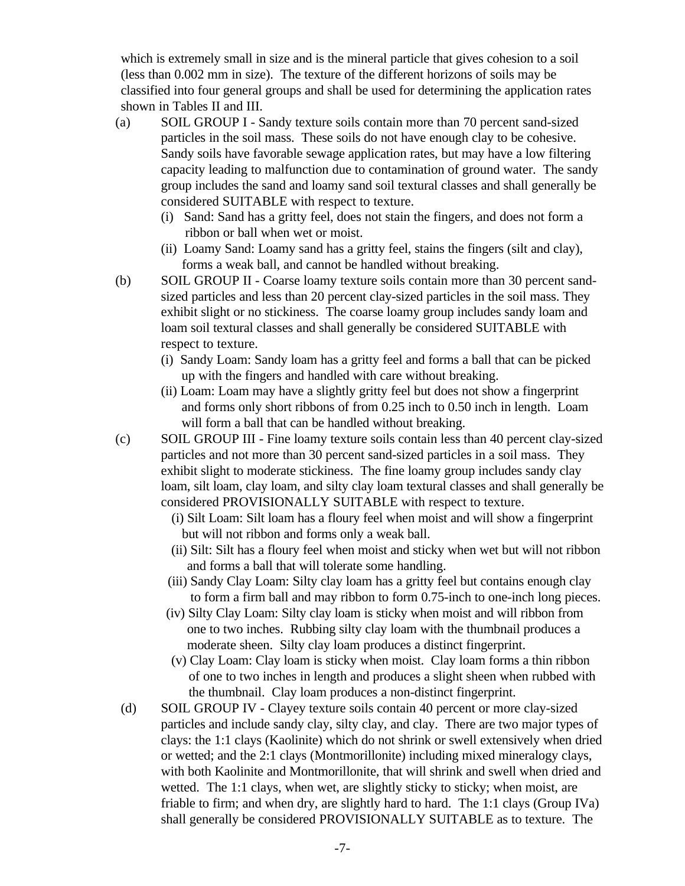which is extremely small in size and is the mineral particle that gives cohesion to a soil (less than 0.002 mm in size). The texture of the different horizons of soils may be classified into four general groups and shall be used for determining the application rates shown in Tables II and III.

- (a) SOIL GROUP I Sandy texture soils contain more than 70 percent sand-sized particles in the soil mass. These soils do not have enough clay to be cohesive. Sandy soils have favorable sewage application rates, but may have a low filtering capacity leading to malfunction due to contamination of ground water. The sandy group includes the sand and loamy sand soil textural classes and shall generally be considered SUITABLE with respect to texture.
	- (i) Sand: Sand has a gritty feel, does not stain the fingers, and does not form a ribbon or ball when wet or moist.
	- (ii) Loamy Sand: Loamy sand has a gritty feel, stains the fingers (silt and clay), forms a weak ball, and cannot be handled without breaking.
- (b) SOIL GROUP II Coarse loamy texture soils contain more than 30 percent sandsized particles and less than 20 percent clay-sized particles in the soil mass. They exhibit slight or no stickiness. The coarse loamy group includes sandy loam and loam soil textural classes and shall generally be considered SUITABLE with respect to texture.
	- (i) Sandy Loam: Sandy loam has a gritty feel and forms a ball that can be picked up with the fingers and handled with care without breaking.
	- (ii) Loam: Loam may have a slightly gritty feel but does not show a fingerprint and forms only short ribbons of from 0.25 inch to 0.50 inch in length. Loam will form a ball that can be handled without breaking.
- (c) SOIL GROUP III Fine loamy texture soils contain less than 40 percent clay-sized particles and not more than 30 percent sand-sized particles in a soil mass. They exhibit slight to moderate stickiness. The fine loamy group includes sandy clay loam, silt loam, clay loam, and silty clay loam textural classes and shall generally be considered PROVISIONALLY SUITABLE with respect to texture.
	- (i) Silt Loam: Silt loam has a floury feel when moist and will show a fingerprint but will not ribbon and forms only a weak ball.
	- (ii) Silt: Silt has a floury feel when moist and sticky when wet but will not ribbon and forms a ball that will tolerate some handling.
	- (iii) Sandy Clay Loam: Silty clay loam has a gritty feel but contains enough clay to form a firm ball and may ribbon to form 0.75-inch to one-inch long pieces.
	- (iv) Silty Clay Loam: Silty clay loam is sticky when moist and will ribbon from one to two inches. Rubbing silty clay loam with the thumbnail produces a moderate sheen. Silty clay loam produces a distinct fingerprint.
	- (v) Clay Loam: Clay loam is sticky when moist. Clay loam forms a thin ribbon of one to two inches in length and produces a slight sheen when rubbed with the thumbnail. Clay loam produces a non-distinct fingerprint.
- (d) SOIL GROUP IV Clayey texture soils contain 40 percent or more clay-sized particles and include sandy clay, silty clay, and clay. There are two major types of clays: the 1:1 clays (Kaolinite) which do not shrink or swell extensively when dried or wetted; and the 2:1 clays (Montmorillonite) including mixed mineralogy clays, with both Kaolinite and Montmorillonite, that will shrink and swell when dried and wetted. The 1:1 clays, when wet, are slightly sticky to sticky; when moist, are friable to firm; and when dry, are slightly hard to hard. The 1:1 clays (Group IVa) shall generally be considered PROVISIONALLY SUITABLE as to texture. The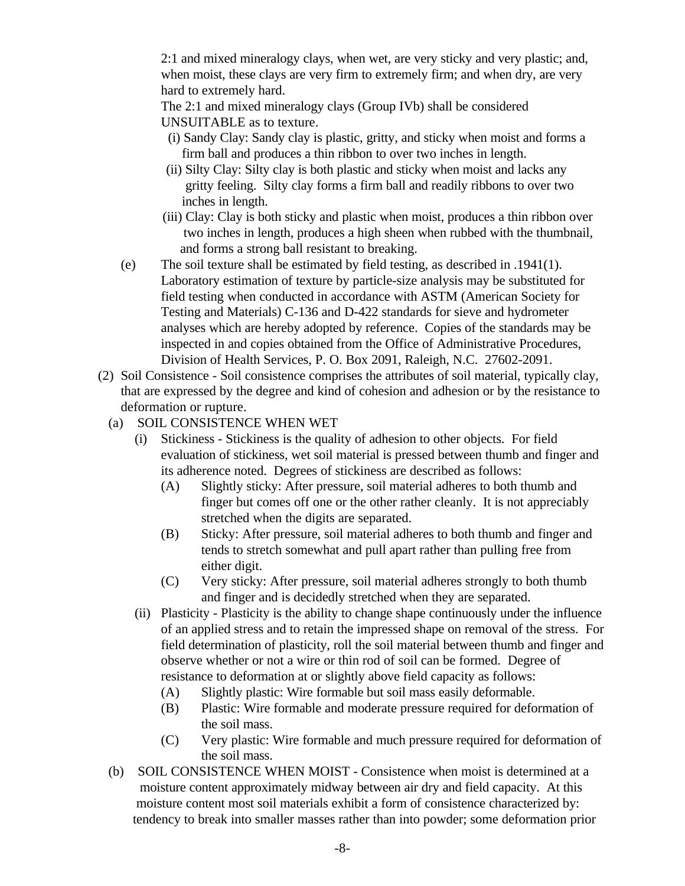2:1 and mixed mineralogy clays, when wet, are very sticky and very plastic; and, when moist, these clays are very firm to extremely firm; and when dry, are very hard to extremely hard.

The 2:1 and mixed mineralogy clays (Group IVb) shall be considered UNSUITABLE as to texture.

- (i) Sandy Clay: Sandy clay is plastic, gritty, and sticky when moist and forms a firm ball and produces a thin ribbon to over two inches in length.
- (ii) Silty Clay: Silty clay is both plastic and sticky when moist and lacks any gritty feeling. Silty clay forms a firm ball and readily ribbons to over two inches in length.
- (iii) Clay: Clay is both sticky and plastic when moist, produces a thin ribbon over two inches in length, produces a high sheen when rubbed with the thumbnail, and forms a strong ball resistant to breaking.
- (e) The soil texture shall be estimated by field testing, as described in .1941(1). Laboratory estimation of texture by particle-size analysis may be substituted for field testing when conducted in accordance with ASTM (American Society for Testing and Materials) C-136 and D-422 standards for sieve and hydrometer analyses which are hereby adopted by reference. Copies of the standards may be inspected in and copies obtained from the Office of Administrative Procedures, Division of Health Services, P. O. Box 2091, Raleigh, N.C. 27602-2091.
- (2) Soil Consistence Soil consistence comprises the attributes of soil material, typically clay, that are expressed by the degree and kind of cohesion and adhesion or by the resistance to deformation or rupture.
	- (a) SOIL CONSISTENCE WHEN WET
		- (i) Stickiness Stickiness is the quality of adhesion to other objects. For field evaluation of stickiness, wet soil material is pressed between thumb and finger and its adherence noted. Degrees of stickiness are described as follows:
			- (A) Slightly sticky: After pressure, soil material adheres to both thumb and finger but comes off one or the other rather cleanly. It is not appreciably stretched when the digits are separated.
			- (B) Sticky: After pressure, soil material adheres to both thumb and finger and tends to stretch somewhat and pull apart rather than pulling free from either digit.
			- (C) Very sticky: After pressure, soil material adheres strongly to both thumb and finger and is decidedly stretched when they are separated.
		- (ii) Plasticity Plasticity is the ability to change shape continuously under the influence of an applied stress and to retain the impressed shape on removal of the stress. For field determination of plasticity, roll the soil material between thumb and finger and observe whether or not a wire or thin rod of soil can be formed. Degree of resistance to deformation at or slightly above field capacity as follows:
			- (A) Slightly plastic: Wire formable but soil mass easily deformable.
			- (B) Plastic: Wire formable and moderate pressure required for deformation of the soil mass.
			- (C) Very plastic: Wire formable and much pressure required for deformation of the soil mass.
	- (b) SOIL CONSISTENCE WHEN MOIST Consistence when moist is determined at a moisture content approximately midway between air dry and field capacity. At this moisture content most soil materials exhibit a form of consistence characterized by: tendency to break into smaller masses rather than into powder; some deformation prior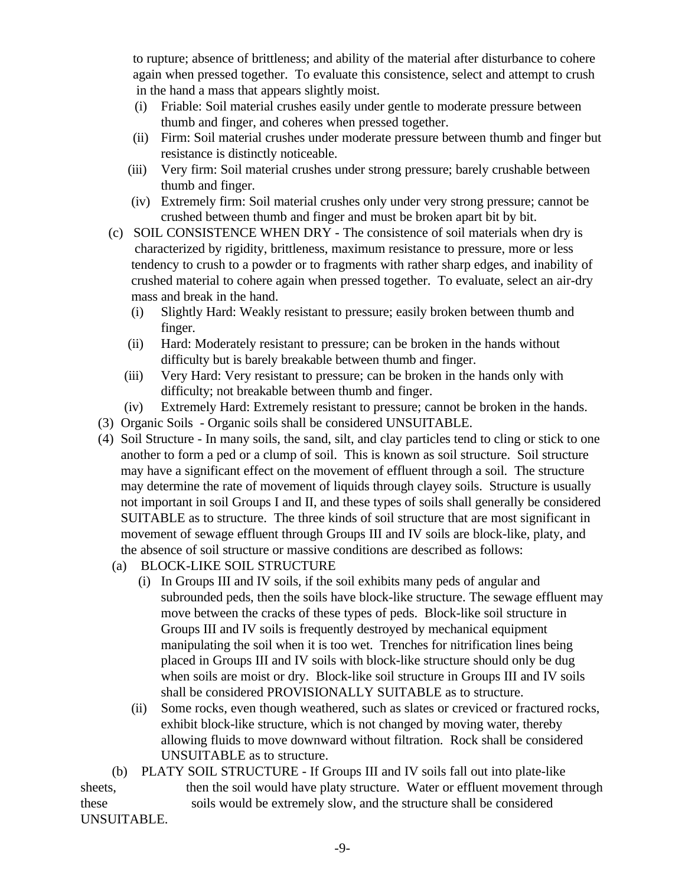to rupture; absence of brittleness; and ability of the material after disturbance to cohere again when pressed together. To evaluate this consistence, select and attempt to crush in the hand a mass that appears slightly moist.

- (i) Friable: Soil material crushes easily under gentle to moderate pressure between thumb and finger, and coheres when pressed together.
- (ii) Firm: Soil material crushes under moderate pressure between thumb and finger but resistance is distinctly noticeable.
- (iii) Very firm: Soil material crushes under strong pressure; barely crushable between thumb and finger.
- (iv) Extremely firm: Soil material crushes only under very strong pressure; cannot be crushed between thumb and finger and must be broken apart bit by bit.
- (c) SOIL CONSISTENCE WHEN DRY The consistence of soil materials when dry is characterized by rigidity, brittleness, maximum resistance to pressure, more or less tendency to crush to a powder or to fragments with rather sharp edges, and inability of crushed material to cohere again when pressed together. To evaluate, select an air-dry mass and break in the hand.
	- (i) Slightly Hard: Weakly resistant to pressure; easily broken between thumb and finger.
	- (ii) Hard: Moderately resistant to pressure; can be broken in the hands without difficulty but is barely breakable between thumb and finger.
	- (iii) Very Hard: Very resistant to pressure; can be broken in the hands only with difficulty; not breakable between thumb and finger.
	- (iv) Extremely Hard: Extremely resistant to pressure; cannot be broken in the hands.
- (3) Organic Soils Organic soils shall be considered UNSUITABLE.
- (4) Soil Structure In many soils, the sand, silt, and clay particles tend to cling or stick to one another to form a ped or a clump of soil. This is known as soil structure. Soil structure may have a significant effect on the movement of effluent through a soil. The structure may determine the rate of movement of liquids through clayey soils. Structure is usually not important in soil Groups I and II, and these types of soils shall generally be considered SUITABLE as to structure. The three kinds of soil structure that are most significant in movement of sewage effluent through Groups III and IV soils are block-like, platy, and the absence of soil structure or massive conditions are described as follows:
	- (a) BLOCK-LIKE SOIL STRUCTURE
		- (i) In Groups III and IV soils, if the soil exhibits many peds of angular and subrounded peds, then the soils have block-like structure. The sewage effluent may move between the cracks of these types of peds. Block-like soil structure in Groups III and IV soils is frequently destroyed by mechanical equipment manipulating the soil when it is too wet. Trenches for nitrification lines being placed in Groups III and IV soils with block-like structure should only be dug when soils are moist or dry. Block-like soil structure in Groups III and IV soils shall be considered PROVISIONALLY SUITABLE as to structure.
		- (ii) Some rocks, even though weathered, such as slates or creviced or fractured rocks, exhibit block-like structure, which is not changed by moving water, thereby allowing fluids to move downward without filtration. Rock shall be considered UNSUITABLE as to structure.

 (b) PLATY SOIL STRUCTURE - If Groups III and IV soils fall out into plate-like sheets, then the soil would have platy structure. Water or effluent movement through these soils would be extremely slow, and the structure shall be considered UNSUITABLE.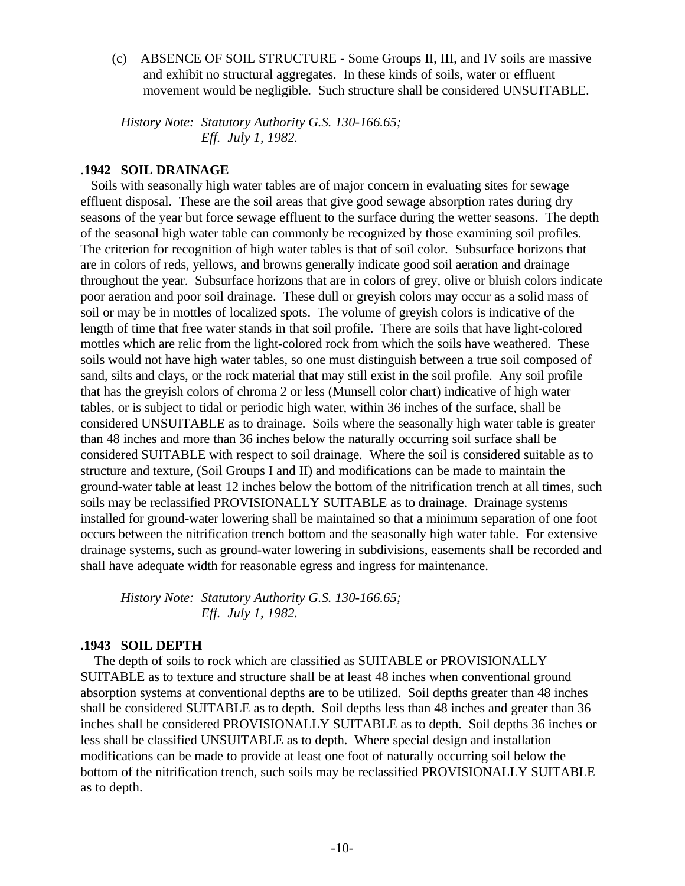(c) ABSENCE OF SOIL STRUCTURE - Some Groups II, III, and IV soils are massive and exhibit no structural aggregates. In these kinds of soils, water or effluent movement would be negligible. Such structure shall be considered UNSUITABLE.

*History Note: Statutory Authority G.S. 130-166.65; Eff. July 1, 1982.*

#### .**1942 SOIL DRAINAGE**

 Soils with seasonally high water tables are of major concern in evaluating sites for sewage effluent disposal. These are the soil areas that give good sewage absorption rates during dry seasons of the year but force sewage effluent to the surface during the wetter seasons. The depth of the seasonal high water table can commonly be recognized by those examining soil profiles. The criterion for recognition of high water tables is that of soil color. Subsurface horizons that are in colors of reds, yellows, and browns generally indicate good soil aeration and drainage throughout the year. Subsurface horizons that are in colors of grey, olive or bluish colors indicate poor aeration and poor soil drainage. These dull or greyish colors may occur as a solid mass of soil or may be in mottles of localized spots. The volume of greyish colors is indicative of the length of time that free water stands in that soil profile. There are soils that have light-colored mottles which are relic from the light-colored rock from which the soils have weathered. These soils would not have high water tables, so one must distinguish between a true soil composed of sand, silts and clays, or the rock material that may still exist in the soil profile. Any soil profile that has the greyish colors of chroma 2 or less (Munsell color chart) indicative of high water tables, or is subject to tidal or periodic high water, within 36 inches of the surface, shall be considered UNSUITABLE as to drainage. Soils where the seasonally high water table is greater than 48 inches and more than 36 inches below the naturally occurring soil surface shall be considered SUITABLE with respect to soil drainage. Where the soil is considered suitable as to structure and texture, (Soil Groups I and II) and modifications can be made to maintain the ground-water table at least 12 inches below the bottom of the nitrification trench at all times, such soils may be reclassified PROVISIONALLY SUITABLE as to drainage. Drainage systems installed for ground-water lowering shall be maintained so that a minimum separation of one foot occurs between the nitrification trench bottom and the seasonally high water table. For extensive drainage systems, such as ground-water lowering in subdivisions, easements shall be recorded and shall have adequate width for reasonable egress and ingress for maintenance.

*History Note: Statutory Authority G.S. 130-166.65; Eff. July 1, 1982.*

#### **.1943 SOIL DEPTH**

 The depth of soils to rock which are classified as SUITABLE or PROVISIONALLY SUITABLE as to texture and structure shall be at least 48 inches when conventional ground absorption systems at conventional depths are to be utilized. Soil depths greater than 48 inches shall be considered SUITABLE as to depth. Soil depths less than 48 inches and greater than 36 inches shall be considered PROVISIONALLY SUITABLE as to depth. Soil depths 36 inches or less shall be classified UNSUITABLE as to depth. Where special design and installation modifications can be made to provide at least one foot of naturally occurring soil below the bottom of the nitrification trench, such soils may be reclassified PROVISIONALLY SUITABLE as to depth.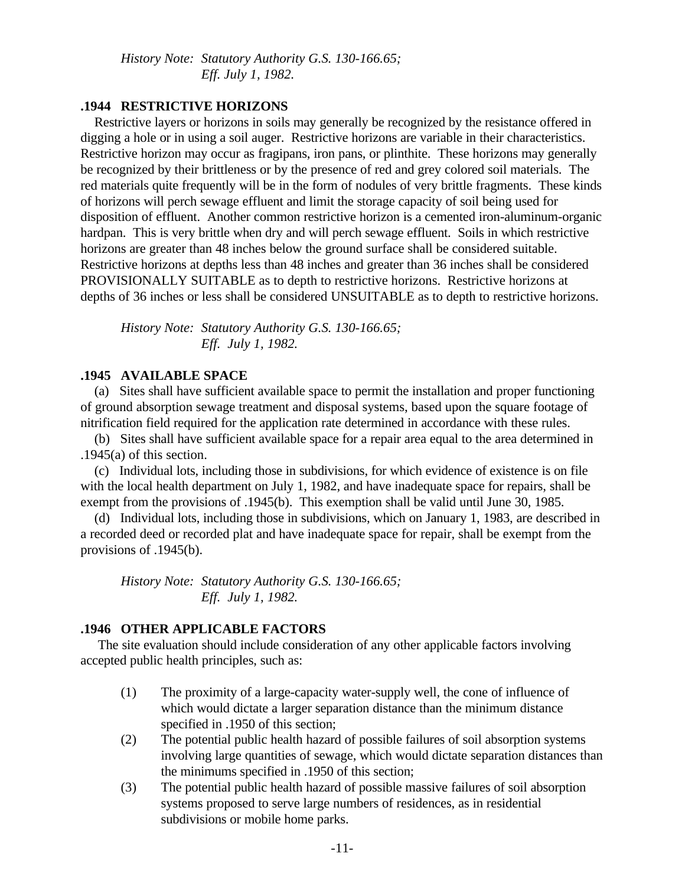*History Note: Statutory Authority G.S. 130-166.65; Eff. July 1, 1982.*

## **.1944 RESTRICTIVE HORIZONS**

 Restrictive layers or horizons in soils may generally be recognized by the resistance offered in digging a hole or in using a soil auger. Restrictive horizons are variable in their characteristics. Restrictive horizon may occur as fragipans, iron pans, or plinthite. These horizons may generally be recognized by their brittleness or by the presence of red and grey colored soil materials. The red materials quite frequently will be in the form of nodules of very brittle fragments. These kinds of horizons will perch sewage effluent and limit the storage capacity of soil being used for disposition of effluent. Another common restrictive horizon is a cemented iron-aluminum-organic hardpan. This is very brittle when dry and will perch sewage effluent. Soils in which restrictive horizons are greater than 48 inches below the ground surface shall be considered suitable. Restrictive horizons at depths less than 48 inches and greater than 36 inches shall be considered PROVISIONALLY SUITABLE as to depth to restrictive horizons. Restrictive horizons at depths of 36 inches or less shall be considered UNSUITABLE as to depth to restrictive horizons.

*History Note: Statutory Authority G.S. 130-166.65; Eff. July 1, 1982.*

#### **.1945 AVAILABLE SPACE**

 (a) Sites shall have sufficient available space to permit the installation and proper functioning of ground absorption sewage treatment and disposal systems, based upon the square footage of nitrification field required for the application rate determined in accordance with these rules.

 (b) Sites shall have sufficient available space for a repair area equal to the area determined in .1945(a) of this section.

 (c) Individual lots, including those in subdivisions, for which evidence of existence is on file with the local health department on July 1, 1982, and have inadequate space for repairs, shall be exempt from the provisions of .1945(b). This exemption shall be valid until June 30, 1985.

 (d) Individual lots, including those in subdivisions, which on January 1, 1983, are described in a recorded deed or recorded plat and have inadequate space for repair, shall be exempt from the provisions of .1945(b).

*History Note: Statutory Authority G.S. 130-166.65; Eff. July 1, 1982.*

#### **.1946 OTHER APPLICABLE FACTORS**

 The site evaluation should include consideration of any other applicable factors involving accepted public health principles, such as:

- (1) The proximity of a large-capacity water-supply well, the cone of influence of which would dictate a larger separation distance than the minimum distance specified in .1950 of this section;
- (2) The potential public health hazard of possible failures of soil absorption systems involving large quantities of sewage, which would dictate separation distances than the minimums specified in .1950 of this section;
- (3) The potential public health hazard of possible massive failures of soil absorption systems proposed to serve large numbers of residences, as in residential subdivisions or mobile home parks.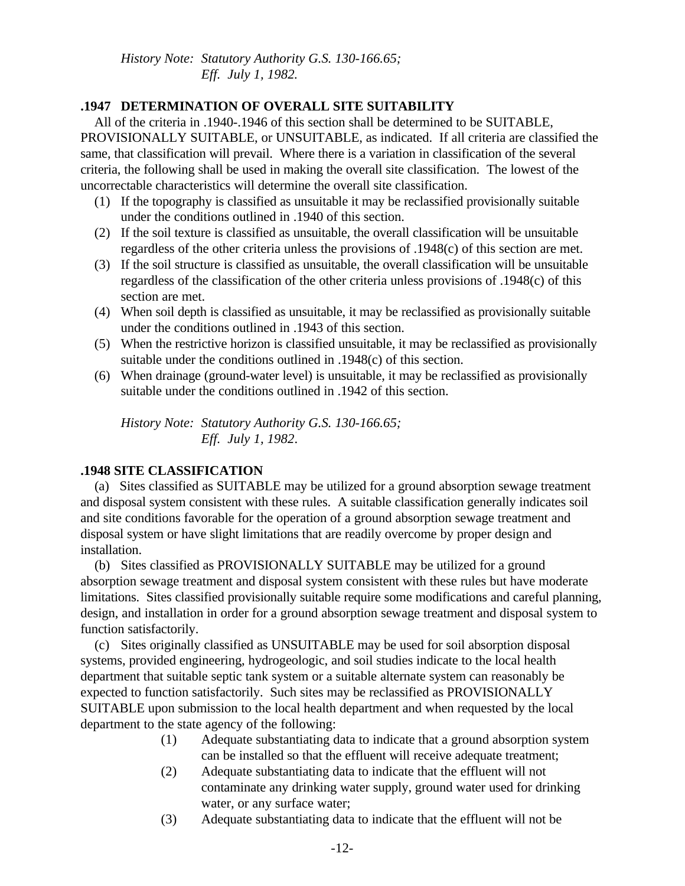## *History Note: Statutory Authority G.S. 130-166.65; Eff. July 1, 1982.*

## **.1947 DETERMINATION OF OVERALL SITE SUITABILITY**

 All of the criteria in .1940-.1946 of this section shall be determined to be SUITABLE, PROVISIONALLY SUITABLE, or UNSUITABLE, as indicated. If all criteria are classified the same, that classification will prevail. Where there is a variation in classification of the several criteria, the following shall be used in making the overall site classification. The lowest of the uncorrectable characteristics will determine the overall site classification.

- (1) If the topography is classified as unsuitable it may be reclassified provisionally suitable under the conditions outlined in .1940 of this section.
- (2) If the soil texture is classified as unsuitable, the overall classification will be unsuitable regardless of the other criteria unless the provisions of .1948(c) of this section are met.
- (3) If the soil structure is classified as unsuitable, the overall classification will be unsuitable regardless of the classification of the other criteria unless provisions of .1948(c) of this section are met.
- (4) When soil depth is classified as unsuitable, it may be reclassified as provisionally suitable under the conditions outlined in .1943 of this section.
- (5) When the restrictive horizon is classified unsuitable, it may be reclassified as provisionally suitable under the conditions outlined in .1948(c) of this section.
- (6) When drainage (ground-water level) is unsuitable, it may be reclassified as provisionally suitable under the conditions outlined in .1942 of this section.

*History Note: Statutory Authority G.S. 130-166.65; Eff. July 1, 1982*.

## **.1948 SITE CLASSIFICATION**

 (a) Sites classified as SUITABLE may be utilized for a ground absorption sewage treatment and disposal system consistent with these rules. A suitable classification generally indicates soil and site conditions favorable for the operation of a ground absorption sewage treatment and disposal system or have slight limitations that are readily overcome by proper design and installation.

 (b) Sites classified as PROVISIONALLY SUITABLE may be utilized for a ground absorption sewage treatment and disposal system consistent with these rules but have moderate limitations. Sites classified provisionally suitable require some modifications and careful planning, design, and installation in order for a ground absorption sewage treatment and disposal system to function satisfactorily.

 (c) Sites originally classified as UNSUITABLE may be used for soil absorption disposal systems, provided engineering, hydrogeologic, and soil studies indicate to the local health department that suitable septic tank system or a suitable alternate system can reasonably be expected to function satisfactorily. Such sites may be reclassified as PROVISIONALLY SUITABLE upon submission to the local health department and when requested by the local department to the state agency of the following:

- (1) Adequate substantiating data to indicate that a ground absorption system can be installed so that the effluent will receive adequate treatment;
- (2) Adequate substantiating data to indicate that the effluent will not contaminate any drinking water supply, ground water used for drinking water, or any surface water;
- (3) Adequate substantiating data to indicate that the effluent will not be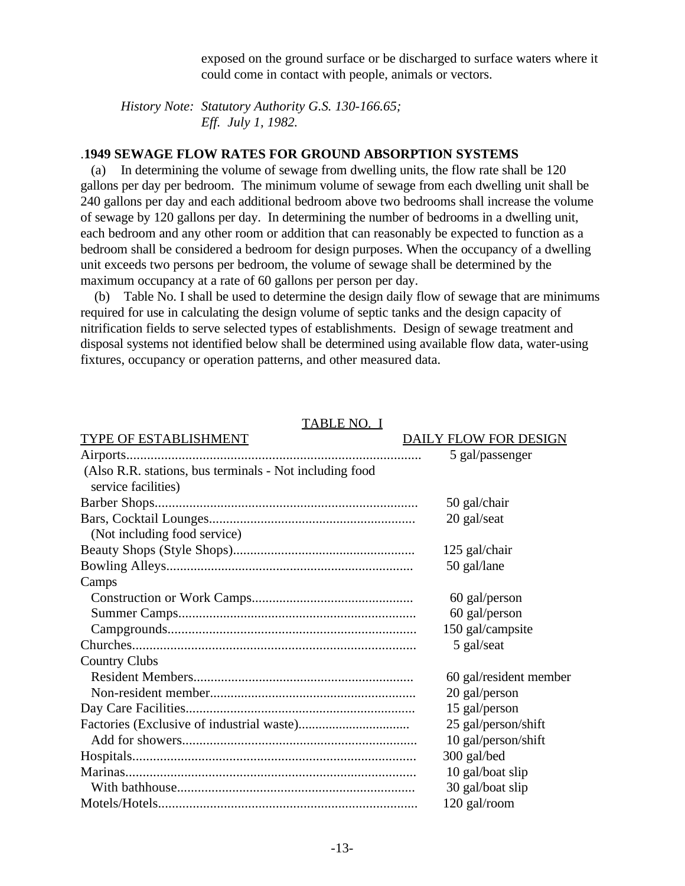exposed on the ground surface or be discharged to surface waters where it could come in contact with people, animals or vectors.

*History Note: Statutory Authority G.S. 130-166.65; Eff. July 1, 1982.*

#### .**1949 SEWAGE FLOW RATES FOR GROUND ABSORPTION SYSTEMS**

 (a) In determining the volume of sewage from dwelling units, the flow rate shall be 120 gallons per day per bedroom. The minimum volume of sewage from each dwelling unit shall be 240 gallons per day and each additional bedroom above two bedrooms shall increase the volume of sewage by 120 gallons per day. In determining the number of bedrooms in a dwelling unit, each bedroom and any other room or addition that can reasonably be expected to function as a bedroom shall be considered a bedroom for design purposes. When the occupancy of a dwelling unit exceeds two persons per bedroom, the volume of sewage shall be determined by the maximum occupancy at a rate of 60 gallons per person per day.

 (b) Table No. I shall be used to determine the design daily flow of sewage that are minimums required for use in calculating the design volume of septic tanks and the design capacity of nitrification fields to serve selected types of establishments. Design of sewage treatment and disposal systems not identified below shall be determined using available flow data, water-using fixtures, occupancy or operation patterns, and other measured data.

| TYPE OF ESTABLISHMENT                                                          | DAILY FLOW FOR DESIGN  |
|--------------------------------------------------------------------------------|------------------------|
|                                                                                | 5 gal/passenger        |
| (Also R.R. stations, bus terminals - Not including food<br>service facilities) |                        |
|                                                                                | 50 gal/chair           |
|                                                                                | 20 gal/seat            |
| (Not including food service)                                                   |                        |
|                                                                                | 125 gal/chair          |
|                                                                                | 50 gal/lane            |
| Camps                                                                          |                        |
|                                                                                | 60 gal/person          |
|                                                                                | 60 gal/person          |
|                                                                                | 150 gal/campsite       |
|                                                                                | 5 gal/seat             |
| <b>Country Clubs</b>                                                           |                        |
|                                                                                | 60 gal/resident member |
|                                                                                | 20 gal/person          |
|                                                                                | 15 gal/person          |
|                                                                                | 25 gal/person/shift    |
|                                                                                | 10 gal/person/shift    |
|                                                                                | 300 gal/bed            |
|                                                                                | 10 gal/boat slip       |
|                                                                                | 30 gal/boat slip       |
|                                                                                | 120 gal/room           |

#### TABLE NO. I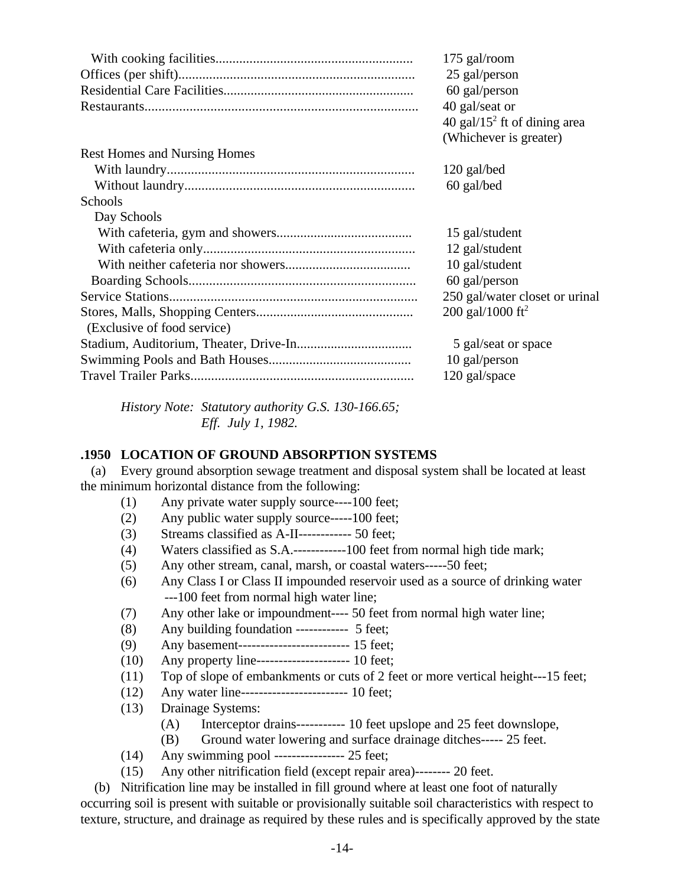|                                     | 175 gal/room<br>25 gal/person<br>60 gal/person<br>40 gal/seat or<br>40 gal/15 <sup>2</sup> ft of dining area<br>(Whichever is greater) |
|-------------------------------------|----------------------------------------------------------------------------------------------------------------------------------------|
| <b>Rest Homes and Nursing Homes</b> |                                                                                                                                        |
|                                     | 120 gal/bed                                                                                                                            |
|                                     | 60 gal/bed                                                                                                                             |
| Schools                             |                                                                                                                                        |
| Day Schools                         |                                                                                                                                        |
|                                     | 15 gal/student                                                                                                                         |
|                                     | 12 gal/student                                                                                                                         |
|                                     | 10 gal/student                                                                                                                         |
|                                     | 60 gal/person                                                                                                                          |
|                                     | 250 gal/water closet or urinal                                                                                                         |
|                                     | 200 gal/1000 ft <sup>2</sup>                                                                                                           |
| (Exclusive of food service)         |                                                                                                                                        |
|                                     | 5 gal/seat or space                                                                                                                    |
|                                     | 10 gal/person                                                                                                                          |
|                                     | 120 gal/space                                                                                                                          |

*History Note: Statutory authority G.S. 130-166.65; Eff. July 1, 1982.*

## **.1950 LOCATION OF GROUND ABSORPTION SYSTEMS**

 (a) Every ground absorption sewage treatment and disposal system shall be located at least the minimum horizontal distance from the following:

- (1) Any private water supply source----100 feet;
- (2) Any public water supply source-----100 feet;
- (3) Streams classified as A-II------------ 50 feet;
- (4) Waters classified as S.A.------------100 feet from normal high tide mark;
- (5) Any other stream, canal, marsh, or coastal waters-----50 feet;
- (6) Any Class I or Class II impounded reservoir used as a source of drinking water ---100 feet from normal high water line;
- (7) Any other lake or impoundment---- 50 feet from normal high water line;
- (8) Any building foundation ------------ 5 feet;
- (9) Any basement------------------------- 15 feet;
- (10) Any property line--------------------- 10 feet;
- (11) Top of slope of embankments or cuts of 2 feet or more vertical height---15 feet;
- (12) Any water line------------------------ 10 feet;
- (13) Drainage Systems:
	- (A) Interceptor drains----------- 10 feet upslope and 25 feet downslope,
	- (B) Ground water lowering and surface drainage ditches----- 25 feet.
- (14) Any swimming pool ---------------- 25 feet;
- (15) Any other nitrification field (except repair area)-------- 20 feet.

 (b) Nitrification line may be installed in fill ground where at least one foot of naturally occurring soil is present with suitable or provisionally suitable soil characteristics with respect to texture, structure, and drainage as required by these rules and is specifically approved by the state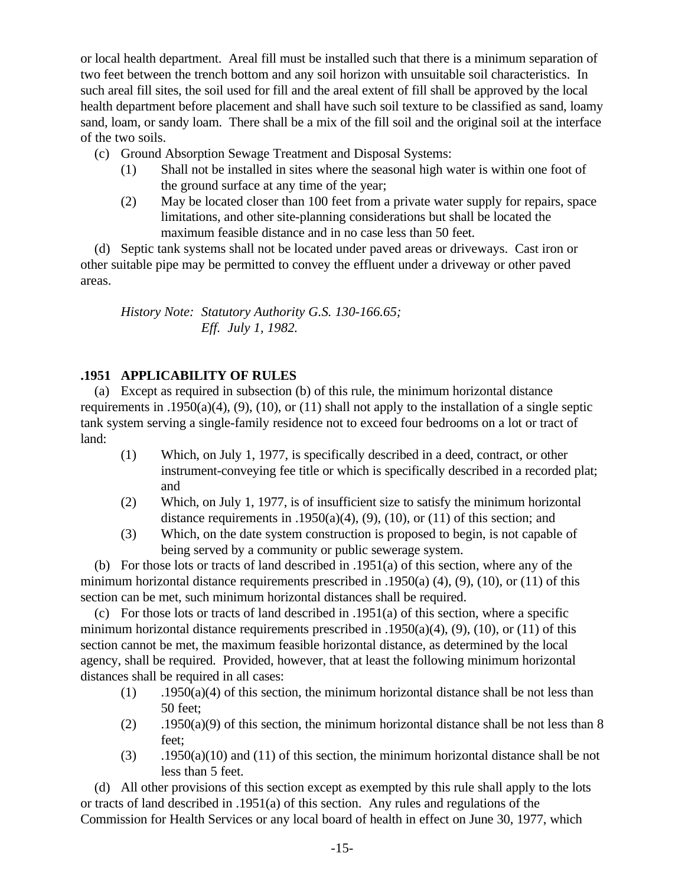or local health department. Areal fill must be installed such that there is a minimum separation of two feet between the trench bottom and any soil horizon with unsuitable soil characteristics. In such areal fill sites, the soil used for fill and the areal extent of fill shall be approved by the local health department before placement and shall have such soil texture to be classified as sand, loamy sand, loam, or sandy loam. There shall be a mix of the fill soil and the original soil at the interface of the two soils.

- (c) Ground Absorption Sewage Treatment and Disposal Systems:
	- (1) Shall not be installed in sites where the seasonal high water is within one foot of the ground surface at any time of the year;
	- (2) May be located closer than 100 feet from a private water supply for repairs, space limitations, and other site-planning considerations but shall be located the maximum feasible distance and in no case less than 50 feet.

 (d) Septic tank systems shall not be located under paved areas or driveways. Cast iron or other suitable pipe may be permitted to convey the effluent under a driveway or other paved areas.

*History Note: Statutory Authority G.S. 130-166.65; Eff. July 1, 1982.*

# **.1951 APPLICABILITY OF RULES**

 (a) Except as required in subsection (b) of this rule, the minimum horizontal distance requirements in .1950(a)(4), (9), (10), or (11) shall not apply to the installation of a single septic tank system serving a single-family residence not to exceed four bedrooms on a lot or tract of land:

- (1) Which, on July 1, 1977, is specifically described in a deed, contract, or other instrument-conveying fee title or which is specifically described in a recorded plat; and
- (2) Which, on July 1, 1977, is of insufficient size to satisfy the minimum horizontal distance requirements in .1950(a)(4), (9), (10), or (11) of this section; and
- (3) Which, on the date system construction is proposed to begin, is not capable of being served by a community or public sewerage system.

 (b) For those lots or tracts of land described in .1951(a) of this section, where any of the minimum horizontal distance requirements prescribed in .1950(a)  $(4)$ ,  $(9)$ ,  $(10)$ , or  $(11)$  of this section can be met, such minimum horizontal distances shall be required.

 (c) For those lots or tracts of land described in .1951(a) of this section, where a specific minimum horizontal distance requirements prescribed in .1950(a)(4), (9), (10), or (11) of this section cannot be met, the maximum feasible horizontal distance, as determined by the local agency, shall be required. Provided, however, that at least the following minimum horizontal distances shall be required in all cases:

- $(1)$  .1950(a)(4) of this section, the minimum horizontal distance shall be not less than 50 feet;
- (2) .1950(a)(9) of this section, the minimum horizontal distance shall be not less than 8 feet;
- (3) .1950(a)(10) and (11) of this section, the minimum horizontal distance shall be not less than 5 feet.

 (d) All other provisions of this section except as exempted by this rule shall apply to the lots or tracts of land described in .1951(a) of this section. Any rules and regulations of the Commission for Health Services or any local board of health in effect on June 30, 1977, which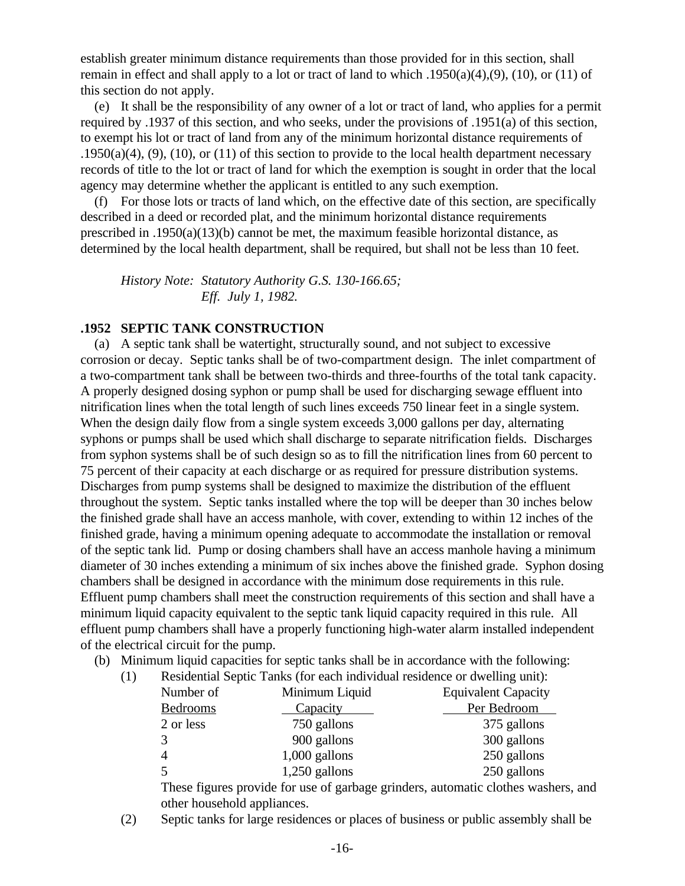establish greater minimum distance requirements than those provided for in this section, shall remain in effect and shall apply to a lot or tract of land to which .1950(a)(4),(9), (10), or (11) of this section do not apply.

 (e) It shall be the responsibility of any owner of a lot or tract of land, who applies for a permit required by .1937 of this section, and who seeks, under the provisions of .1951(a) of this section, to exempt his lot or tract of land from any of the minimum horizontal distance requirements of .1950(a)(4), (9), (10), or (11) of this section to provide to the local health department necessary records of title to the lot or tract of land for which the exemption is sought in order that the local agency may determine whether the applicant is entitled to any such exemption.

 (f) For those lots or tracts of land which, on the effective date of this section, are specifically described in a deed or recorded plat, and the minimum horizontal distance requirements prescribed in .1950(a)(13)(b) cannot be met, the maximum feasible horizontal distance, as determined by the local health department, shall be required, but shall not be less than 10 feet.

*History Note: Statutory Authority G.S. 130-166.65; Eff. July 1, 1982.*

#### **.1952 SEPTIC TANK CONSTRUCTION**

 (a) A septic tank shall be watertight, structurally sound, and not subject to excessive corrosion or decay. Septic tanks shall be of two-compartment design. The inlet compartment of a two-compartment tank shall be between two-thirds and three-fourths of the total tank capacity. A properly designed dosing syphon or pump shall be used for discharging sewage effluent into nitrification lines when the total length of such lines exceeds 750 linear feet in a single system. When the design daily flow from a single system exceeds 3,000 gallons per day, alternating syphons or pumps shall be used which shall discharge to separate nitrification fields. Discharges from syphon systems shall be of such design so as to fill the nitrification lines from 60 percent to 75 percent of their capacity at each discharge or as required for pressure distribution systems. Discharges from pump systems shall be designed to maximize the distribution of the effluent throughout the system. Septic tanks installed where the top will be deeper than 30 inches below the finished grade shall have an access manhole, with cover, extending to within 12 inches of the finished grade, having a minimum opening adequate to accommodate the installation or removal of the septic tank lid. Pump or dosing chambers shall have an access manhole having a minimum diameter of 30 inches extending a minimum of six inches above the finished grade. Syphon dosing chambers shall be designed in accordance with the minimum dose requirements in this rule. Effluent pump chambers shall meet the construction requirements of this section and shall have a minimum liquid capacity equivalent to the septic tank liquid capacity required in this rule. All effluent pump chambers shall have a properly functioning high-water alarm installed independent of the electrical circuit for the pump.

(b) Minimum liquid capacities for septic tanks shall be in accordance with the following:

(1) Residential Septic Tanks (for each individual residence or dwelling unit):

| Number of     | Minimum Liquid  | <b>Equivalent Capacity</b> |
|---------------|-----------------|----------------------------|
| Bedrooms      | Capacity        | Per Bedroom                |
| 2 or less     | 750 gallons     | 375 gallons                |
| $\mathcal{R}$ | 900 gallons     | 300 gallons                |
| $\varDelta$   | $1,000$ gallons | 250 gallons                |
| 5             | $1,250$ gallons | 250 gallons                |

These figures provide for use of garbage grinders, automatic clothes washers, and other household appliances.

(2) Septic tanks for large residences or places of business or public assembly shall be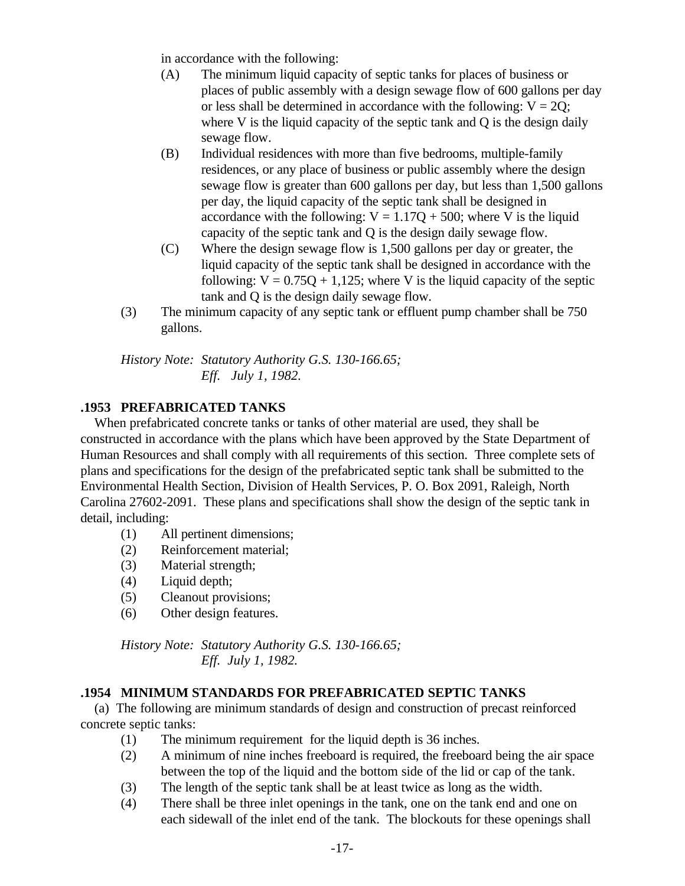in accordance with the following:

- (A) The minimum liquid capacity of septic tanks for places of business or places of public assembly with a design sewage flow of 600 gallons per day or less shall be determined in accordance with the following:  $V = 2Q$ ; where V is the liquid capacity of the septic tank and  $Q$  is the design daily sewage flow.
- (B) Individual residences with more than five bedrooms, multiple-family residences, or any place of business or public assembly where the design sewage flow is greater than 600 gallons per day, but less than 1,500 gallons per day, the liquid capacity of the septic tank shall be designed in accordance with the following:  $V = 1.17Q + 500$ ; where V is the liquid capacity of the septic tank and Q is the design daily sewage flow.
- (C) Where the design sewage flow is 1,500 gallons per day or greater, the liquid capacity of the septic tank shall be designed in accordance with the following:  $V = 0.75Q + 1.125$ ; where V is the liquid capacity of the septic tank and Q is the design daily sewage flow.
- (3) The minimum capacity of any septic tank or effluent pump chamber shall be 750 gallons.

*History Note: Statutory Authority G.S. 130-166.65; Eff. July 1, 1982.*

# **.1953 PREFABRICATED TANKS**

 When prefabricated concrete tanks or tanks of other material are used, they shall be constructed in accordance with the plans which have been approved by the State Department of Human Resources and shall comply with all requirements of this section. Three complete sets of plans and specifications for the design of the prefabricated septic tank shall be submitted to the Environmental Health Section, Division of Health Services, P. O. Box 2091, Raleigh, North Carolina 27602-2091. These plans and specifications shall show the design of the septic tank in detail, including:

- (1) All pertinent dimensions;
- (2) Reinforcement material;
- (3) Material strength;
- (4) Liquid depth;
- (5) Cleanout provisions;
- (6) Other design features.

*History Note: Statutory Authority G.S. 130-166.65; Eff. July 1, 1982.*

## **.1954 MINIMUM STANDARDS FOR PREFABRICATED SEPTIC TANKS**

 (a) The following are minimum standards of design and construction of precast reinforced concrete septic tanks:

- (1) The minimum requirement for the liquid depth is 36 inches.
- (2) A minimum of nine inches freeboard is required, the freeboard being the air space between the top of the liquid and the bottom side of the lid or cap of the tank.
- (3) The length of the septic tank shall be at least twice as long as the width.
- (4) There shall be three inlet openings in the tank, one on the tank end and one on each sidewall of the inlet end of the tank. The blockouts for these openings shall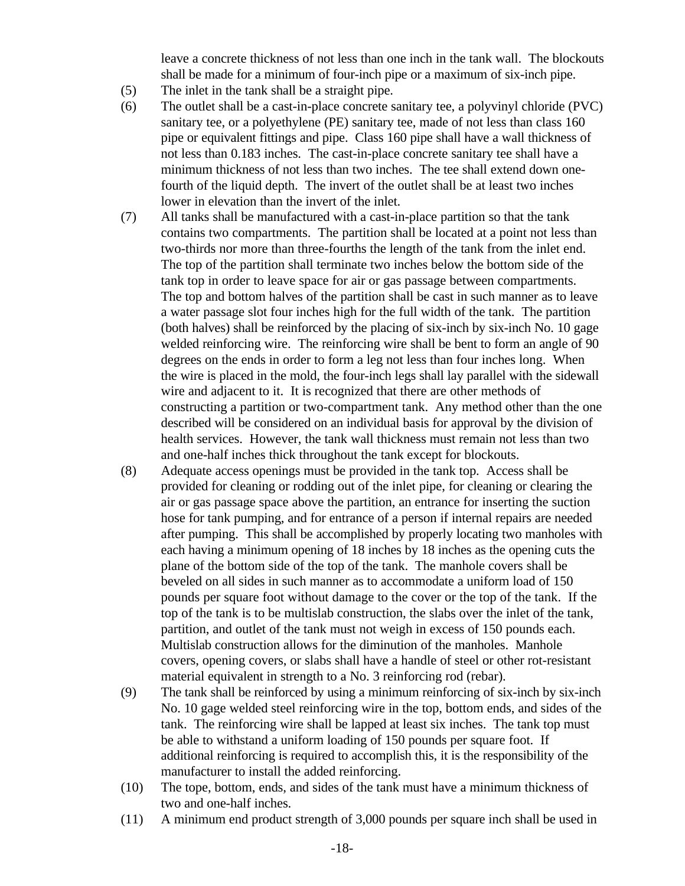leave a concrete thickness of not less than one inch in the tank wall. The blockouts shall be made for a minimum of four-inch pipe or a maximum of six-inch pipe.

- (5) The inlet in the tank shall be a straight pipe.
- (6) The outlet shall be a cast-in-place concrete sanitary tee, a polyvinyl chloride (PVC) sanitary tee, or a polyethylene (PE) sanitary tee, made of not less than class 160 pipe or equivalent fittings and pipe. Class 160 pipe shall have a wall thickness of not less than 0.183 inches. The cast-in-place concrete sanitary tee shall have a minimum thickness of not less than two inches. The tee shall extend down onefourth of the liquid depth. The invert of the outlet shall be at least two inches lower in elevation than the invert of the inlet.
- (7) All tanks shall be manufactured with a cast-in-place partition so that the tank contains two compartments. The partition shall be located at a point not less than two-thirds nor more than three-fourths the length of the tank from the inlet end. The top of the partition shall terminate two inches below the bottom side of the tank top in order to leave space for air or gas passage between compartments. The top and bottom halves of the partition shall be cast in such manner as to leave a water passage slot four inches high for the full width of the tank. The partition (both halves) shall be reinforced by the placing of six-inch by six-inch No. 10 gage welded reinforcing wire. The reinforcing wire shall be bent to form an angle of 90 degrees on the ends in order to form a leg not less than four inches long. When the wire is placed in the mold, the four-inch legs shall lay parallel with the sidewall wire and adjacent to it. It is recognized that there are other methods of constructing a partition or two-compartment tank. Any method other than the one described will be considered on an individual basis for approval by the division of health services. However, the tank wall thickness must remain not less than two and one-half inches thick throughout the tank except for blockouts.
- (8) Adequate access openings must be provided in the tank top. Access shall be provided for cleaning or rodding out of the inlet pipe, for cleaning or clearing the air or gas passage space above the partition, an entrance for inserting the suction hose for tank pumping, and for entrance of a person if internal repairs are needed after pumping. This shall be accomplished by properly locating two manholes with each having a minimum opening of 18 inches by 18 inches as the opening cuts the plane of the bottom side of the top of the tank. The manhole covers shall be beveled on all sides in such manner as to accommodate a uniform load of 150 pounds per square foot without damage to the cover or the top of the tank. If the top of the tank is to be multislab construction, the slabs over the inlet of the tank, partition, and outlet of the tank must not weigh in excess of 150 pounds each. Multislab construction allows for the diminution of the manholes. Manhole covers, opening covers, or slabs shall have a handle of steel or other rot-resistant material equivalent in strength to a No. 3 reinforcing rod (rebar).
- (9) The tank shall be reinforced by using a minimum reinforcing of six-inch by six-inch No. 10 gage welded steel reinforcing wire in the top, bottom ends, and sides of the tank. The reinforcing wire shall be lapped at least six inches. The tank top must be able to withstand a uniform loading of 150 pounds per square foot. If additional reinforcing is required to accomplish this, it is the responsibility of the manufacturer to install the added reinforcing.
- (10) The tope, bottom, ends, and sides of the tank must have a minimum thickness of two and one-half inches.
- (11) A minimum end product strength of 3,000 pounds per square inch shall be used in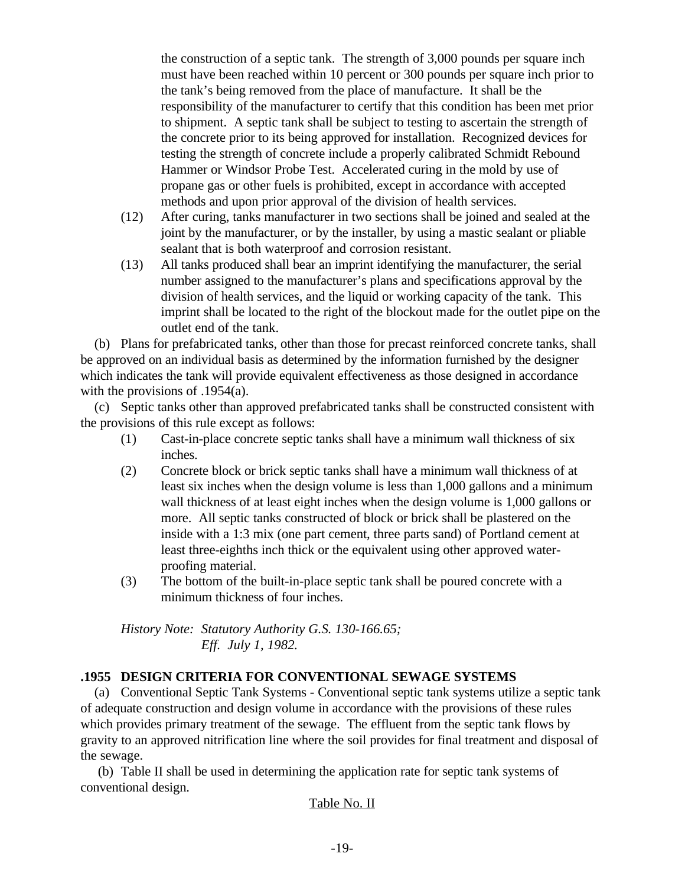the construction of a septic tank. The strength of 3,000 pounds per square inch must have been reached within 10 percent or 300 pounds per square inch prior to the tank's being removed from the place of manufacture. It shall be the responsibility of the manufacturer to certify that this condition has been met prior to shipment. A septic tank shall be subject to testing to ascertain the strength of the concrete prior to its being approved for installation. Recognized devices for testing the strength of concrete include a properly calibrated Schmidt Rebound Hammer or Windsor Probe Test. Accelerated curing in the mold by use of propane gas or other fuels is prohibited, except in accordance with accepted methods and upon prior approval of the division of health services.

- (12) After curing, tanks manufacturer in two sections shall be joined and sealed at the joint by the manufacturer, or by the installer, by using a mastic sealant or pliable sealant that is both waterproof and corrosion resistant.
- (13) All tanks produced shall bear an imprint identifying the manufacturer, the serial number assigned to the manufacturer's plans and specifications approval by the division of health services, and the liquid or working capacity of the tank. This imprint shall be located to the right of the blockout made for the outlet pipe on the outlet end of the tank.

 (b) Plans for prefabricated tanks, other than those for precast reinforced concrete tanks, shall be approved on an individual basis as determined by the information furnished by the designer which indicates the tank will provide equivalent effectiveness as those designed in accordance with the provisions of .1954(a).

 (c) Septic tanks other than approved prefabricated tanks shall be constructed consistent with the provisions of this rule except as follows:

- (1) Cast-in-place concrete septic tanks shall have a minimum wall thickness of six inches.
- (2) Concrete block or brick septic tanks shall have a minimum wall thickness of at least six inches when the design volume is less than 1,000 gallons and a minimum wall thickness of at least eight inches when the design volume is 1,000 gallons or more. All septic tanks constructed of block or brick shall be plastered on the inside with a 1:3 mix (one part cement, three parts sand) of Portland cement at least three-eighths inch thick or the equivalent using other approved waterproofing material.
- (3) The bottom of the built-in-place septic tank shall be poured concrete with a minimum thickness of four inches.

*History Note: Statutory Authority G.S. 130-166.65; Eff. July 1, 1982.*

## **.1955 DESIGN CRITERIA FOR CONVENTIONAL SEWAGE SYSTEMS**

 (a) Conventional Septic Tank Systems - Conventional septic tank systems utilize a septic tank of adequate construction and design volume in accordance with the provisions of these rules which provides primary treatment of the sewage. The effluent from the septic tank flows by gravity to an approved nitrification line where the soil provides for final treatment and disposal of the sewage.

 (b) Table II shall be used in determining the application rate for septic tank systems of conventional design.

#### Table No. II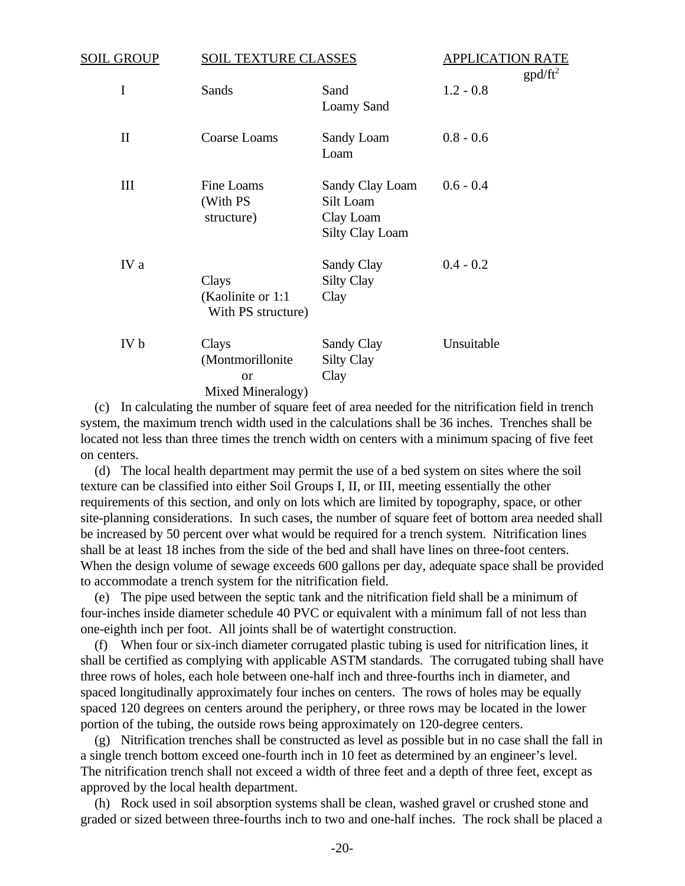| <b>SOIL GROUP</b> | <b>SOIL TEXTURE CLASSES</b>                                     |                                                                     | <b>APPLICATION RATE</b><br>$gpd/ft^2$ |
|-------------------|-----------------------------------------------------------------|---------------------------------------------------------------------|---------------------------------------|
| I                 | Sands                                                           | Sand<br>Loamy Sand                                                  | $1.2 - 0.8$                           |
| $\mathbf{I}$      | Coarse Loams                                                    | Sandy Loam<br>Loam                                                  | $0.8 - 0.6$                           |
| III               | Fine Loams<br>(With PS<br>structure)                            | Sandy Clay Loam<br>Silt Loam<br>Clay Loam<br><b>Silty Clay Loam</b> | $0.6 - 0.4$                           |
| IV a              | Clays<br>(Kaolinite or 1:1)<br>With PS structure)               | Sandy Clay<br><b>Silty Clay</b><br>Clay                             | $0.4 - 0.2$                           |
| IV b              | Clays<br>(Montmorillonite<br><sub>or</sub><br>Mixed Mineralogy) | Sandy Clay<br><b>Silty Clay</b><br>Clay                             | Unsuitable                            |

 (c) In calculating the number of square feet of area needed for the nitrification field in trench system, the maximum trench width used in the calculations shall be 36 inches. Trenches shall be located not less than three times the trench width on centers with a minimum spacing of five feet on centers.

 (d) The local health department may permit the use of a bed system on sites where the soil texture can be classified into either Soil Groups I, II, or III, meeting essentially the other requirements of this section, and only on lots which are limited by topography, space, or other site-planning considerations. In such cases, the number of square feet of bottom area needed shall be increased by 50 percent over what would be required for a trench system. Nitrification lines shall be at least 18 inches from the side of the bed and shall have lines on three-foot centers. When the design volume of sewage exceeds 600 gallons per day, adequate space shall be provided to accommodate a trench system for the nitrification field.

 (e) The pipe used between the septic tank and the nitrification field shall be a minimum of four-inches inside diameter schedule 40 PVC or equivalent with a minimum fall of not less than one-eighth inch per foot. All joints shall be of watertight construction.

 (f) When four or six-inch diameter corrugated plastic tubing is used for nitrification lines, it shall be certified as complying with applicable ASTM standards. The corrugated tubing shall have three rows of holes, each hole between one-half inch and three-fourths inch in diameter, and spaced longitudinally approximately four inches on centers. The rows of holes may be equally spaced 120 degrees on centers around the periphery, or three rows may be located in the lower portion of the tubing, the outside rows being approximately on 120-degree centers.

 (g) Nitrification trenches shall be constructed as level as possible but in no case shall the fall in a single trench bottom exceed one-fourth inch in 10 feet as determined by an engineer's level. The nitrification trench shall not exceed a width of three feet and a depth of three feet, except as approved by the local health department.

 (h) Rock used in soil absorption systems shall be clean, washed gravel or crushed stone and graded or sized between three-fourths inch to two and one-half inches. The rock shall be placed a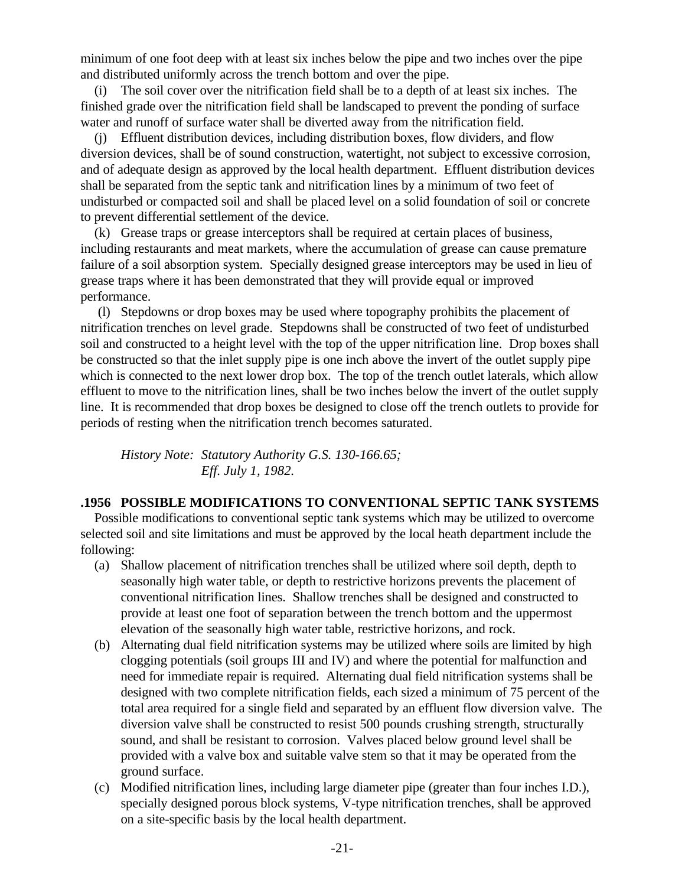minimum of one foot deep with at least six inches below the pipe and two inches over the pipe and distributed uniformly across the trench bottom and over the pipe.

 (i) The soil cover over the nitrification field shall be to a depth of at least six inches. The finished grade over the nitrification field shall be landscaped to prevent the ponding of surface water and runoff of surface water shall be diverted away from the nitrification field.

 (j) Effluent distribution devices, including distribution boxes, flow dividers, and flow diversion devices, shall be of sound construction, watertight, not subject to excessive corrosion, and of adequate design as approved by the local health department. Effluent distribution devices shall be separated from the septic tank and nitrification lines by a minimum of two feet of undisturbed or compacted soil and shall be placed level on a solid foundation of soil or concrete to prevent differential settlement of the device.

 (k) Grease traps or grease interceptors shall be required at certain places of business, including restaurants and meat markets, where the accumulation of grease can cause premature failure of a soil absorption system. Specially designed grease interceptors may be used in lieu of grease traps where it has been demonstrated that they will provide equal or improved performance.

 (l) Stepdowns or drop boxes may be used where topography prohibits the placement of nitrification trenches on level grade. Stepdowns shall be constructed of two feet of undisturbed soil and constructed to a height level with the top of the upper nitrification line. Drop boxes shall be constructed so that the inlet supply pipe is one inch above the invert of the outlet supply pipe which is connected to the next lower drop box. The top of the trench outlet laterals, which allow effluent to move to the nitrification lines, shall be two inches below the invert of the outlet supply line. It is recommended that drop boxes be designed to close off the trench outlets to provide for periods of resting when the nitrification trench becomes saturated.

*History Note: Statutory Authority G.S. 130-166.65; Eff. July 1, 1982.*

#### **.1956 POSSIBLE MODIFICATIONS TO CONVENTIONAL SEPTIC TANK SYSTEMS**

 Possible modifications to conventional septic tank systems which may be utilized to overcome selected soil and site limitations and must be approved by the local heath department include the following:

- (a) Shallow placement of nitrification trenches shall be utilized where soil depth, depth to seasonally high water table, or depth to restrictive horizons prevents the placement of conventional nitrification lines. Shallow trenches shall be designed and constructed to provide at least one foot of separation between the trench bottom and the uppermost elevation of the seasonally high water table, restrictive horizons, and rock.
- (b) Alternating dual field nitrification systems may be utilized where soils are limited by high clogging potentials (soil groups III and IV) and where the potential for malfunction and need for immediate repair is required. Alternating dual field nitrification systems shall be designed with two complete nitrification fields, each sized a minimum of 75 percent of the total area required for a single field and separated by an effluent flow diversion valve. The diversion valve shall be constructed to resist 500 pounds crushing strength, structurally sound, and shall be resistant to corrosion. Valves placed below ground level shall be provided with a valve box and suitable valve stem so that it may be operated from the ground surface.
- (c) Modified nitrification lines, including large diameter pipe (greater than four inches I.D.), specially designed porous block systems, V-type nitrification trenches, shall be approved on a site-specific basis by the local health department.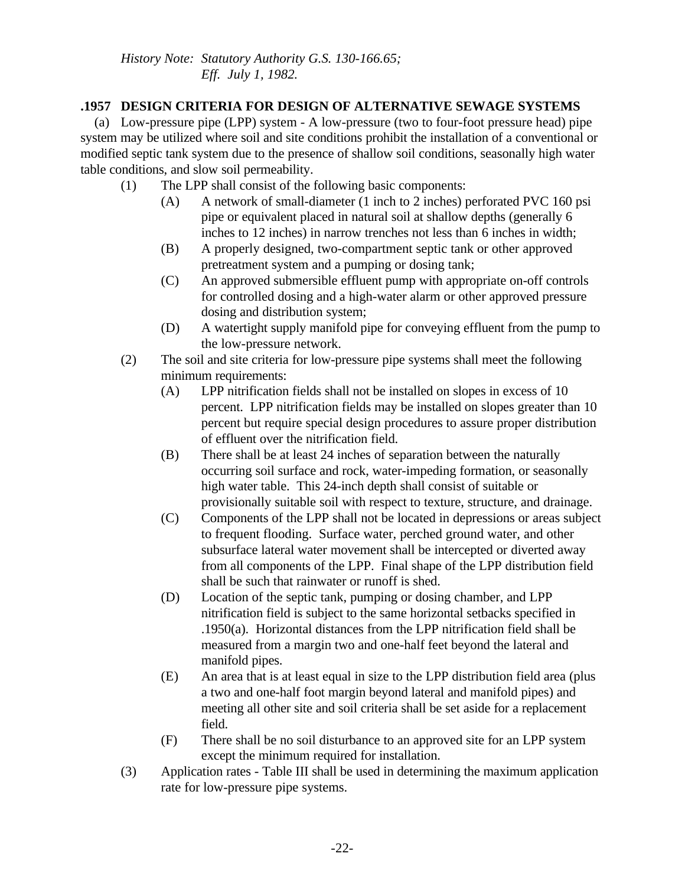# **.1957 DESIGN CRITERIA FOR DESIGN OF ALTERNATIVE SEWAGE SYSTEMS**

 (a) Low-pressure pipe (LPP) system - A low-pressure (two to four-foot pressure head) pipe system may be utilized where soil and site conditions prohibit the installation of a conventional or modified septic tank system due to the presence of shallow soil conditions, seasonally high water table conditions, and slow soil permeability.

- (1) The LPP shall consist of the following basic components:
	- (A) A network of small-diameter (1 inch to 2 inches) perforated PVC 160 psi pipe or equivalent placed in natural soil at shallow depths (generally 6 inches to 12 inches) in narrow trenches not less than 6 inches in width;
	- (B) A properly designed, two-compartment septic tank or other approved pretreatment system and a pumping or dosing tank;
	- (C) An approved submersible effluent pump with appropriate on-off controls for controlled dosing and a high-water alarm or other approved pressure dosing and distribution system;
	- (D) A watertight supply manifold pipe for conveying effluent from the pump to the low-pressure network.
- (2) The soil and site criteria for low-pressure pipe systems shall meet the following minimum requirements:
	- (A) LPP nitrification fields shall not be installed on slopes in excess of 10 percent. LPP nitrification fields may be installed on slopes greater than 10 percent but require special design procedures to assure proper distribution of effluent over the nitrification field.
	- (B) There shall be at least 24 inches of separation between the naturally occurring soil surface and rock, water-impeding formation, or seasonally high water table. This 24-inch depth shall consist of suitable or provisionally suitable soil with respect to texture, structure, and drainage.
	- (C) Components of the LPP shall not be located in depressions or areas subject to frequent flooding. Surface water, perched ground water, and other subsurface lateral water movement shall be intercepted or diverted away from all components of the LPP. Final shape of the LPP distribution field shall be such that rainwater or runoff is shed.
	- (D) Location of the septic tank, pumping or dosing chamber, and LPP nitrification field is subject to the same horizontal setbacks specified in .1950(a). Horizontal distances from the LPP nitrification field shall be measured from a margin two and one-half feet beyond the lateral and manifold pipes.
	- (E) An area that is at least equal in size to the LPP distribution field area (plus a two and one-half foot margin beyond lateral and manifold pipes) and meeting all other site and soil criteria shall be set aside for a replacement field.
	- (F) There shall be no soil disturbance to an approved site for an LPP system except the minimum required for installation.
- (3) Application rates Table III shall be used in determining the maximum application rate for low-pressure pipe systems.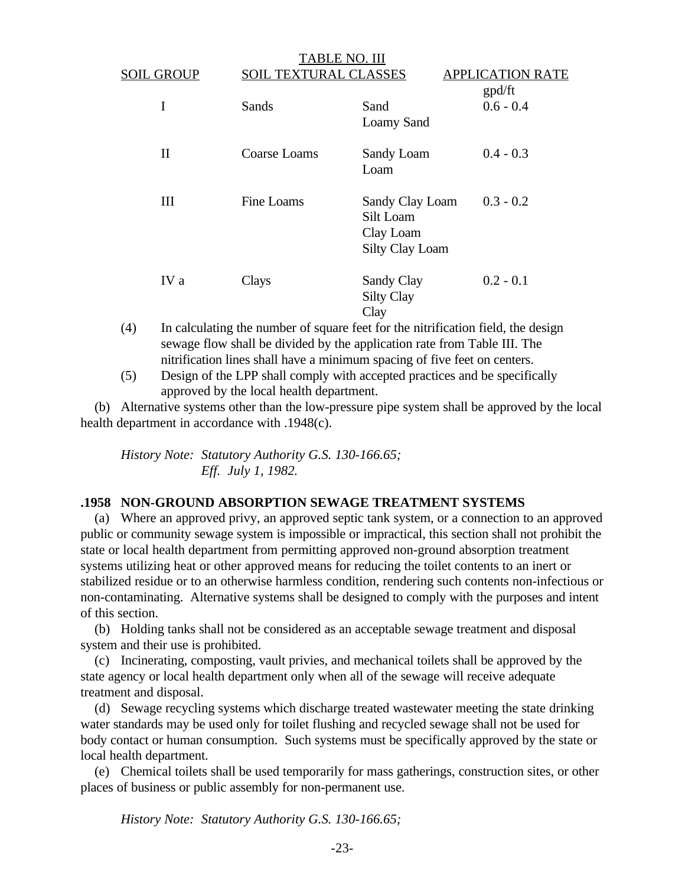| <b>SOIL GROUP</b> | ABLE NO. III<br><b>SOIL TEXTURAL CLASSES</b> |                                                                     | <b>APPLICATION RATE</b> |  |
|-------------------|----------------------------------------------|---------------------------------------------------------------------|-------------------------|--|
| I                 | Sands                                        | Sand<br><b>Loamy Sand</b>                                           | gpd/ft<br>$0.6 - 0.4$   |  |
| $\mathbf{I}$      | Coarse Loams                                 | Sandy Loam<br>Loam                                                  | $0.4 - 0.3$             |  |
| Ш                 | Fine Loams                                   | Sandy Clay Loam<br>Silt Loam<br>Clay Loam<br><b>Silty Clay Loam</b> | $0.3 - 0.2$             |  |
| IV a              | Clays                                        | Sandy Clay<br><b>Silty Clay</b><br>Clay                             | $0.2 - 0.1$             |  |

 $T_{\rm H}$ 

- (4) In calculating the number of square feet for the nitrification field, the design sewage flow shall be divided by the application rate from Table III. The nitrification lines shall have a minimum spacing of five feet on centers.
- (5) Design of the LPP shall comply with accepted practices and be specifically approved by the local health department.

 (b) Alternative systems other than the low-pressure pipe system shall be approved by the local health department in accordance with .1948(c).

*History Note: Statutory Authority G.S. 130-166.65; Eff. July 1, 1982.*

#### **.1958 NON-GROUND ABSORPTION SEWAGE TREATMENT SYSTEMS**

 (a) Where an approved privy, an approved septic tank system, or a connection to an approved public or community sewage system is impossible or impractical, this section shall not prohibit the state or local health department from permitting approved non-ground absorption treatment systems utilizing heat or other approved means for reducing the toilet contents to an inert or stabilized residue or to an otherwise harmless condition, rendering such contents non-infectious or non-contaminating. Alternative systems shall be designed to comply with the purposes and intent of this section.

 (b) Holding tanks shall not be considered as an acceptable sewage treatment and disposal system and their use is prohibited.

 (c) Incinerating, composting, vault privies, and mechanical toilets shall be approved by the state agency or local health department only when all of the sewage will receive adequate treatment and disposal.

 (d) Sewage recycling systems which discharge treated wastewater meeting the state drinking water standards may be used only for toilet flushing and recycled sewage shall not be used for body contact or human consumption. Such systems must be specifically approved by the state or local health department.

 (e) Chemical toilets shall be used temporarily for mass gatherings, construction sites, or other places of business or public assembly for non-permanent use.

*History Note: Statutory Authority G.S. 130-166.65;*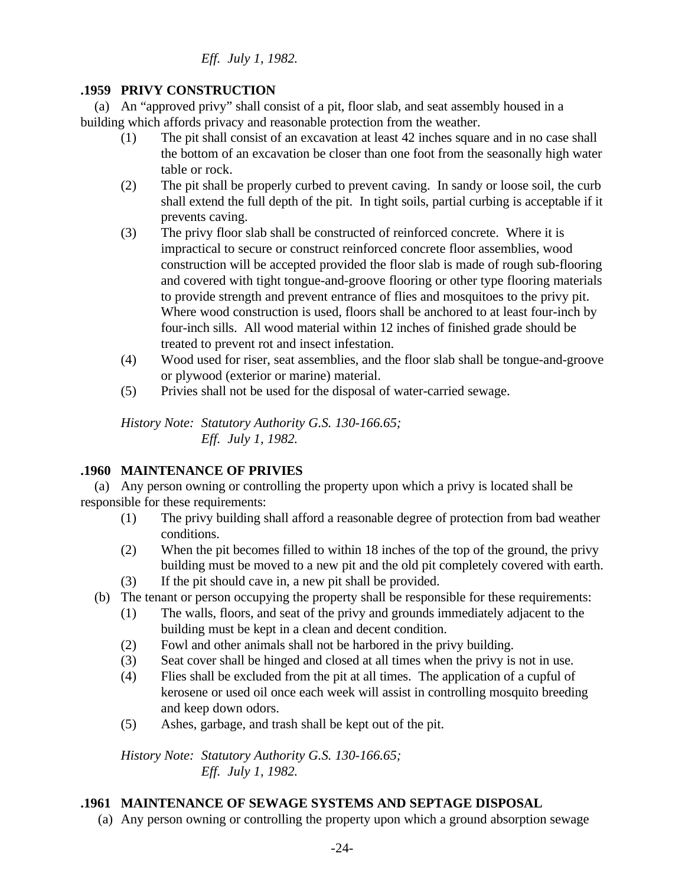## **.1959 PRIVY CONSTRUCTION**

 (a) An "approved privy" shall consist of a pit, floor slab, and seat assembly housed in a building which affords privacy and reasonable protection from the weather.

- (1) The pit shall consist of an excavation at least 42 inches square and in no case shall the bottom of an excavation be closer than one foot from the seasonally high water table or rock.
- (2) The pit shall be properly curbed to prevent caving. In sandy or loose soil, the curb shall extend the full depth of the pit. In tight soils, partial curbing is acceptable if it prevents caving.
- (3) The privy floor slab shall be constructed of reinforced concrete. Where it is impractical to secure or construct reinforced concrete floor assemblies, wood construction will be accepted provided the floor slab is made of rough sub-flooring and covered with tight tongue-and-groove flooring or other type flooring materials to provide strength and prevent entrance of flies and mosquitoes to the privy pit. Where wood construction is used, floors shall be anchored to at least four-inch by four-inch sills. All wood material within 12 inches of finished grade should be treated to prevent rot and insect infestation.
- (4) Wood used for riser, seat assemblies, and the floor slab shall be tongue-and-groove or plywood (exterior or marine) material.
- (5) Privies shall not be used for the disposal of water-carried sewage.

*History Note: Statutory Authority G.S. 130-166.65; Eff. July 1, 1982.*

# **.1960 MAINTENANCE OF PRIVIES**

 (a) Any person owning or controlling the property upon which a privy is located shall be responsible for these requirements:

- (1) The privy building shall afford a reasonable degree of protection from bad weather conditions.
- (2) When the pit becomes filled to within 18 inches of the top of the ground, the privy building must be moved to a new pit and the old pit completely covered with earth.
- (3) If the pit should cave in, a new pit shall be provided.
- (b) The tenant or person occupying the property shall be responsible for these requirements:
	- (1) The walls, floors, and seat of the privy and grounds immediately adjacent to the building must be kept in a clean and decent condition.
	- (2) Fowl and other animals shall not be harbored in the privy building.
	- (3) Seat cover shall be hinged and closed at all times when the privy is not in use.
	- (4) Flies shall be excluded from the pit at all times. The application of a cupful of kerosene or used oil once each week will assist in controlling mosquito breeding and keep down odors.
	- (5) Ashes, garbage, and trash shall be kept out of the pit.

*History Note: Statutory Authority G.S. 130-166.65; Eff. July 1, 1982.*

# **.1961 MAINTENANCE OF SEWAGE SYSTEMS AND SEPTAGE DISPOSAL**

(a) Any person owning or controlling the property upon which a ground absorption sewage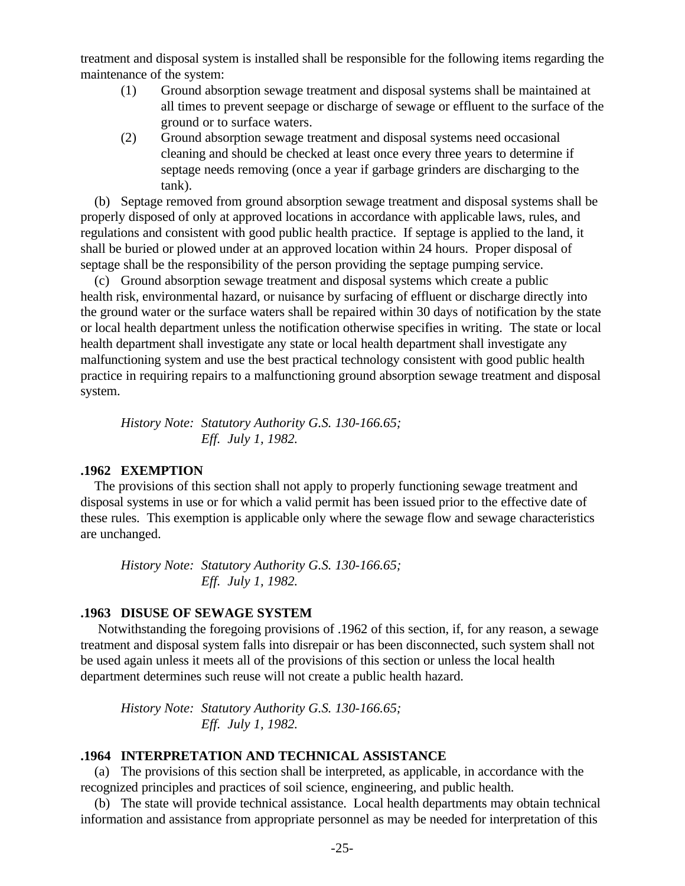treatment and disposal system is installed shall be responsible for the following items regarding the maintenance of the system:

- (1) Ground absorption sewage treatment and disposal systems shall be maintained at all times to prevent seepage or discharge of sewage or effluent to the surface of the ground or to surface waters.
- (2) Ground absorption sewage treatment and disposal systems need occasional cleaning and should be checked at least once every three years to determine if septage needs removing (once a year if garbage grinders are discharging to the tank).

 (b) Septage removed from ground absorption sewage treatment and disposal systems shall be properly disposed of only at approved locations in accordance with applicable laws, rules, and regulations and consistent with good public health practice. If septage is applied to the land, it shall be buried or plowed under at an approved location within 24 hours. Proper disposal of septage shall be the responsibility of the person providing the septage pumping service.

 (c) Ground absorption sewage treatment and disposal systems which create a public health risk, environmental hazard, or nuisance by surfacing of effluent or discharge directly into the ground water or the surface waters shall be repaired within 30 days of notification by the state or local health department unless the notification otherwise specifies in writing. The state or local health department shall investigate any state or local health department shall investigate any malfunctioning system and use the best practical technology consistent with good public health practice in requiring repairs to a malfunctioning ground absorption sewage treatment and disposal system.

*History Note: Statutory Authority G.S. 130-166.65; Eff. July 1, 1982.*

#### **.1962 EXEMPTION**

 The provisions of this section shall not apply to properly functioning sewage treatment and disposal systems in use or for which a valid permit has been issued prior to the effective date of these rules. This exemption is applicable only where the sewage flow and sewage characteristics are unchanged.

*History Note: Statutory Authority G.S. 130-166.65; Eff. July 1, 1982.*

#### **.1963 DISUSE OF SEWAGE SYSTEM**

 Notwithstanding the foregoing provisions of .1962 of this section, if, for any reason, a sewage treatment and disposal system falls into disrepair or has been disconnected, such system shall not be used again unless it meets all of the provisions of this section or unless the local health department determines such reuse will not create a public health hazard.

*History Note: Statutory Authority G.S. 130-166.65; Eff. July 1, 1982.*

#### **.1964 INTERPRETATION AND TECHNICAL ASSISTANCE**

 (a) The provisions of this section shall be interpreted, as applicable, in accordance with the recognized principles and practices of soil science, engineering, and public health.

 (b) The state will provide technical assistance. Local health departments may obtain technical information and assistance from appropriate personnel as may be needed for interpretation of this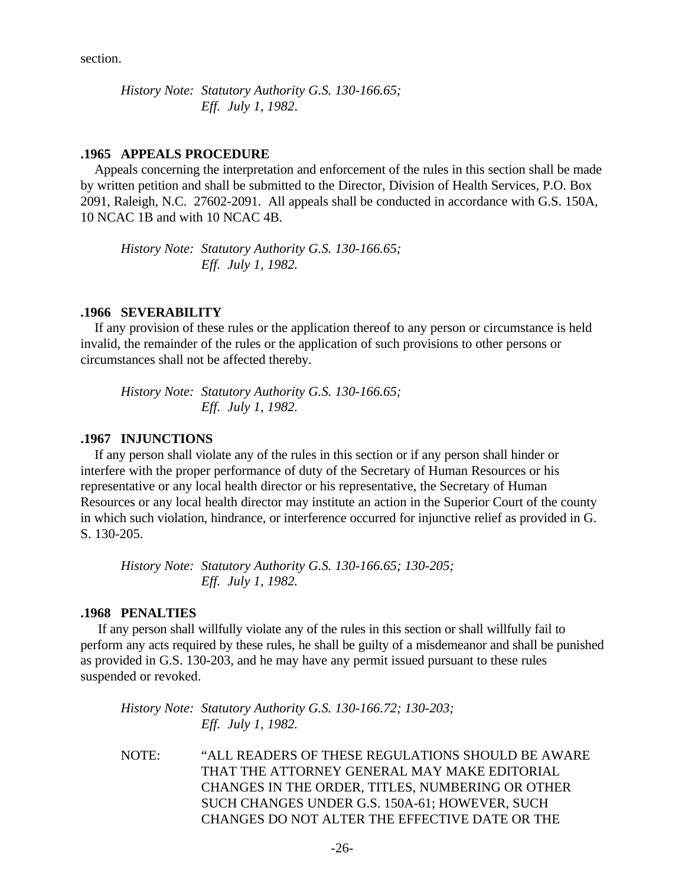section.

*History Note: Statutory Authority G.S. 130-166.65; Eff. July 1, 1982*.

#### **.1965 APPEALS PROCEDURE**

 Appeals concerning the interpretation and enforcement of the rules in this section shall be made by written petition and shall be submitted to the Director, Division of Health Services, P.O. Box 2091, Raleigh, N.C. 27602-2091. All appeals shall be conducted in accordance with G.S. 150A, 10 NCAC 1B and with 10 NCAC 4B.

*History Note: Statutory Authority G.S. 130-166.65; Eff. July 1, 1982.*

#### **.1966 SEVERABILITY**

 If any provision of these rules or the application thereof to any person or circumstance is held invalid, the remainder of the rules or the application of such provisions to other persons or circumstances shall not be affected thereby.

*History Note: Statutory Authority G.S. 130-166.65; Eff. July 1, 1982.*

#### **.1967 INJUNCTIONS**

 If any person shall violate any of the rules in this section or if any person shall hinder or interfere with the proper performance of duty of the Secretary of Human Resources or his representative or any local health director or his representative, the Secretary of Human Resources or any local health director may institute an action in the Superior Court of the county in which such violation, hindrance, or interference occurred for injunctive relief as provided in G. S. 130-205.

*History Note: Statutory Authority G.S. 130-166.65; 130-205; Eff. July 1, 1982.*

#### **.1968 PENALTIES**

 If any person shall willfully violate any of the rules in this section or shall willfully fail to perform any acts required by these rules, he shall be guilty of a misdemeanor and shall be punished as provided in G.S. 130-203, and he may have any permit issued pursuant to these rules suspended or revoked.

*History Note: Statutory Authority G.S. 130-166.72; 130-203; Eff. July 1, 1982.*

NOTE: "ALL READERS OF THESE REGULATIONS SHOULD BE AWARE THAT THE ATTORNEY GENERAL MAY MAKE EDITORIAL CHANGES IN THE ORDER, TITLES, NUMBERING OR OTHER SUCH CHANGES UNDER G.S. 150A-61; HOWEVER, SUCH CHANGES DO NOT ALTER THE EFFECTIVE DATE OR THE